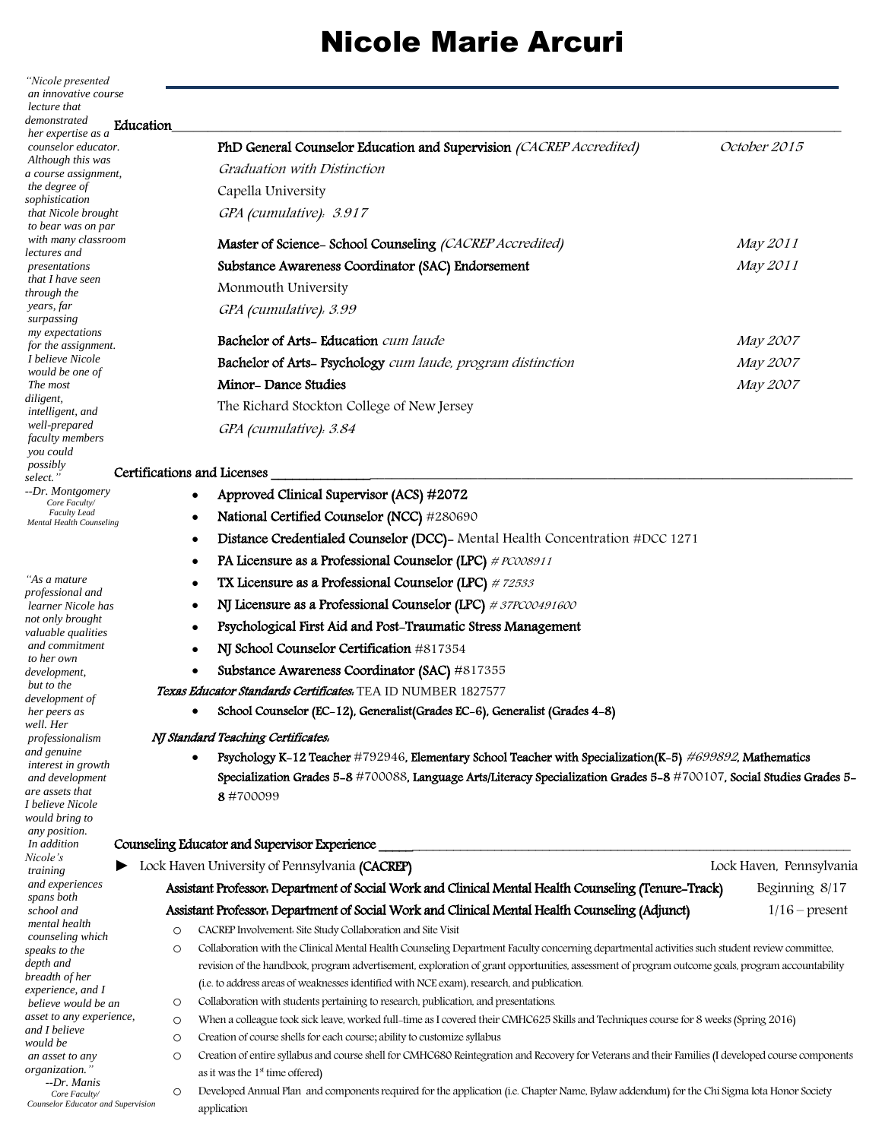*"Nicole presented an innovative course lecture that demonstrated her expertise as a counselor educator. Although this was a course assignment, the degree of sophistication that Nicole brought to bear was on par with many classroom lectures and presentations that I have seen through the years, far surpassing my expectations for the assignment. I believe Nicole would be one of The most diligent, intelligent, and well-prepared faculty members you could possibly select." --Dr. Montgomery Core Faculty/ Faculty Lead Mental Health Counseling* 

*"As a mature professional and learner Nicole has not only brought valuable qualities and commitment to her own development, but to the development of her peers as well. Her professionalism and genuine interest in growth and development are assets that I believe Nicole would bring to any position. In addition Nicole's traini* and  $\epsilon$  $span$ *school and mental health counseling which*   $speak$  $depth$ *bread*  $exper$ *believe would be an*   $\n *asset*\n$ and I *would be an as*  $organ$  *--Dr. Manis Core Faculty/*  $Couns$ 

| Education |                                                                     |              |
|-----------|---------------------------------------------------------------------|--------------|
|           | PhD General Counselor Education and Supervision (CACREP Accredited) | October 2015 |
| ıt.       | Graduation with Distinction                                         |              |
|           | Capella University                                                  |              |
|           | GPA (cumulative). 3.917                                             |              |
| эm        | Master of Science-School Counseling (CACREP Accredited)             | May 2011     |
|           | Substance Awareness Coordinator (SAC) Endorsement                   | May 2011     |
|           | Monmouth University                                                 |              |
|           | GPA (cumulative). 3.99                                              |              |
|           | <b>Bachelor of Arts-Education</b> cum laude                         | May 2007     |
|           | Bachelor of Arts- Psychology cum laude, program distinction         | May 2007     |
|           | Minor-Dance Studies                                                 | May 2007     |
|           | The Richard Stockton College of New Jersey                          |              |
|           | GPA (cumulative). 3.84                                              |              |
|           |                                                                     |              |

### Certifications and Licenses

| g |           | National Certified Counselor (NCC) #280690                                                                           |                         |
|---|-----------|----------------------------------------------------------------------------------------------------------------------|-------------------------|
|   | $\bullet$ | Distance Credentialed Counselor (DCC)- Mental Health Concentration #DCC 1271                                         |                         |
|   | $\bullet$ | PA Licensure as a Professional Counselor (LPC) # PC008911                                                            |                         |
|   | $\bullet$ | TX Licensure as a Professional Counselor (LPC) #72533                                                                |                         |
|   | ٠         | NJ Licensure as a Professional Counselor (LPC) #37PC00491600                                                         |                         |
|   |           | Psychological First Aid and Post-Traumatic Stress Management                                                         |                         |
|   |           | NJ School Counselor Certification #817354                                                                            |                         |
|   | $\bullet$ | Substance Awareness Coordinator (SAC) #817355                                                                        |                         |
|   |           | Texas Educator Standards Certificates. TEA ID NUMBER 1827577                                                         |                         |
|   |           | School Counselor (EC-12), Generalist (Grades EC-6), Generalist (Grades 4-8)                                          |                         |
|   |           | NJ Standard Teaching Certificates.                                                                                   |                         |
|   |           | Psychology K-12 Teacher #792946, Elementary School Teacher with Specialization(K-5) #699892, Mathematics             |                         |
|   |           | Specialization Grades 5-8 #700088, Language Arts/Literacy Specialization Grades 5-8 #700107, Social Studies Grades 5 |                         |
|   |           | 8#700099                                                                                                             |                         |
|   |           | Counseling Educator and Supervisor Experience                                                                        |                         |
|   |           | • Lock Haven University of Pennsylvania (CACREP)                                                                     | Lock Haven, Pennsylvani |
|   |           | Assistant Professor، Department of Social Work and Clinical Mental Health Counseling (Tenure-Track)                  | Beginning 8/17          |
|   |           | Assistant Professor, Denartment of Social Work and Clinical Mental Health Counseling (Adjunct)                       | $1/16$ – present        |

Approved Clinical Supervisor (ACS) #2072

### $N<sub>J</sub>$

| еs<br>ing                                      |              | Lock Haven University of Pennsylvania (CACREP)                                                                                                                                                                                                                                                                                                                                                  | Lock Haven, Pennsylvania |
|------------------------------------------------|--------------|-------------------------------------------------------------------------------------------------------------------------------------------------------------------------------------------------------------------------------------------------------------------------------------------------------------------------------------------------------------------------------------------------|--------------------------|
| experiences<br>s both                          |              | Assistant Professor. Department of Social Work and Clinical Mental Health Counseling (Tenure-Track)                                                                                                                                                                                                                                                                                             | Beginning 8/17           |
| ol and                                         |              | Assistant Professor. Department of Social Work and Clinical Mental Health Counseling (Adjunct)                                                                                                                                                                                                                                                                                                  | $1/16$ – present         |
| al health<br>seling which                      | O            | CACREP Involvement. Site Study Collaboration and Site Visit                                                                                                                                                                                                                                                                                                                                     |                          |
| s to the<br>and<br>lth of her<br>ience, and I  | O            | Collaboration with the Clinical Mental Health Counseling Department Faculty concerning departmental activities such student review committee,<br>revision of the handbook, program advertisement, exploration of grant opportunities, assessment of program outcome goals, program accountability<br>(i.e. to address areas of weaknesses identified with NCE exam), research, and publication. |                          |
| ve would be an                                 | O            | Collaboration with students pertaining to research, publication, and presentations.                                                                                                                                                                                                                                                                                                             |                          |
| to any experience,<br>believe<br>l be          | $\circ$<br>O | When a colleague took sick leave, worked full-time as I covered their CMHC625 Skills and Techniques course for 8 weeks (Spring 2016)<br>Creation of course shells for each course; ability to customize syllabus                                                                                                                                                                                |                          |
| sset to any<br>uzation."<br>-Dr. Manis         | O            | Creation of entire syllabus and course shell for CMHC680 Reintegration and Recovery for Veterans and their Families (I developed course components<br>as it was the $1st$ time offered)                                                                                                                                                                                                         |                          |
| Core Faculty/<br>elor Educator and Supervision | $\circ$      | Developed Annual Plan and components required for the application (i.e. Chapter Name, Bylaw addendum) for the Chi Sigma Iota Honor Society<br>application                                                                                                                                                                                                                                       |                          |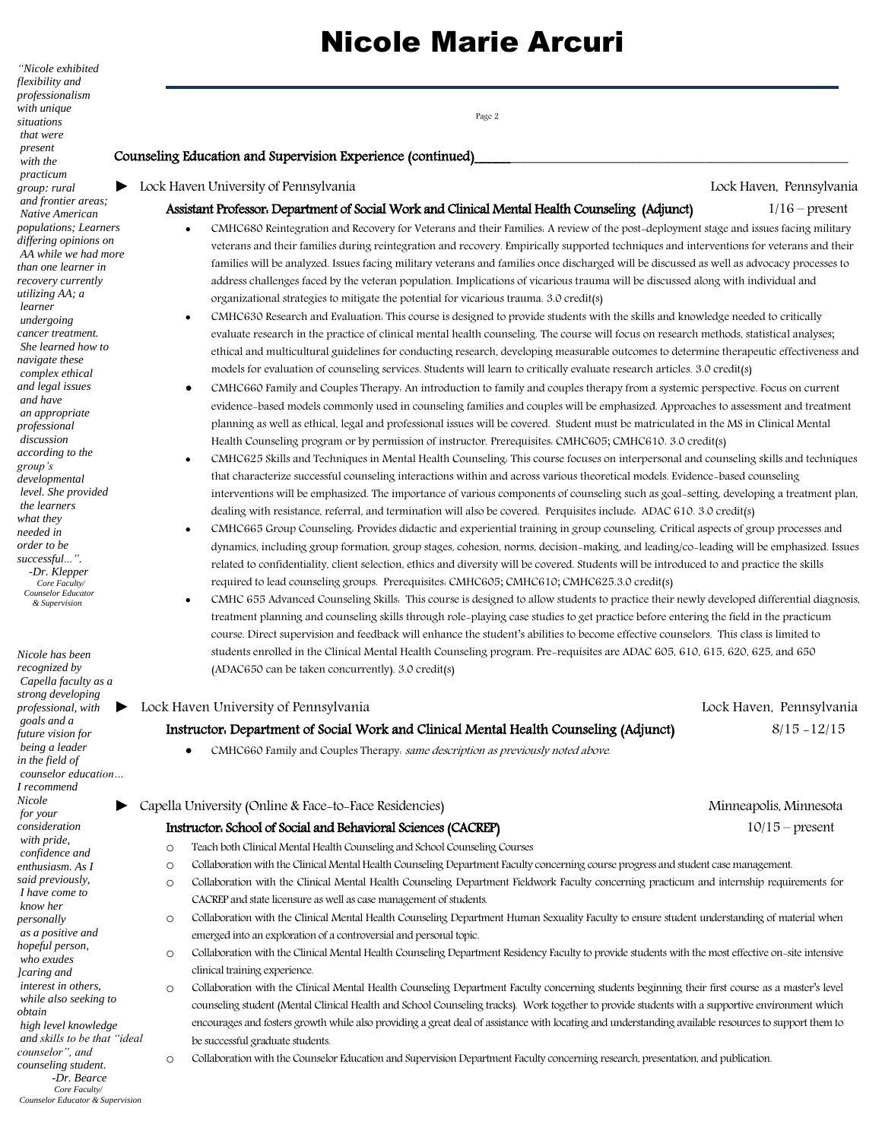Page 2

*flexibility and professionalism with unique situations that were present with the practicum group: rural and frontier areas; Native American populations; Learners differing opinions on AA while we had more than one learner in recovery currently utilizing AA; a learner undergoing cancer treatment. She learned how to navigate these complex ethical and legal issues and have an appropriate professional discussion according to the group's developmental level. She provided the learners what they needed in order to be successful...". -Dr. Klepper Core Faculty/ Counselor Educator & Supervision*

*"Nicole exhibited* 

*recognized by Capella faculty as a strong developing professional, with goals and a future vision for being a leader in the field of counselor education… I recommend Nicole for your consideration with pride, confidence and enthusiasm. As I said previously, I have come to know her personally as a positive and hopeful person, who exudes ]caring and interest in others, while also seeking to obtain high level knowledge and skills to be that "ideal counselor", and counseling student. -Dr. Bearce Core Faculty/ Counselor Educator & Supervision*

*Nicole has been* 

### Counseling Education and Supervision Experience (continued)

*►* Lock Haven University of Pennsylvania Lock Haven, Pennsylvania

#### Assistant Professor: Department of Social Work and Clinical Mental Health Counseling (Adjunct) 1/16 – present

- CMHC680 Reintegration and Recovery for Veterans and their Families: A review of the post-deployment stage and issues facing military veterans and their families during reintegration and recovery. Empirically supported techniques and interventions for veterans and their families will be analyzed. Issues facing military veterans and families once discharged will be discussed as well as advocacy processes to address challenges faced by the veteran population. Implications of vicarious trauma will be discussed along with individual and organizational strategies to mitigate the potential for vicarious trauma. 3.0 credit(s)
- CMHC630 Research and Evaluation: This course is designed to provide students with the skills and knowledge needed to critically evaluate research in the practice of clinical mental health counseling. The course will focus on research methods, statistical analyses; ethical and multicultural guidelines for conducting research, developing measurable outcomes to determine therapeutic effectiveness and models for evaluation of counseling services. Students will learn to critically evaluate research articles. 3.0 credit(s)
- CMHC660 Family and Couples Therapy: An introduction to family and couples therapy from a systemic perspective. Focus on current evidence-based models commonly used in counseling families and couples will be emphasized. Approaches to assessment and treatment planning as well as ethical, legal and professional issues will be covered. Student must be matriculated in the MS in Clinical Mental Health Counseling program or by permission of instructor. Prerequisites: CMHC605; CMHC610. 3.0 credit(s)
- CMHC625 Skills and Techniques in Mental Health Counseling: This course focuses on interpersonal and counseling skills and techniques that characterize successful counseling interactions within and across various theoretical models. Evidence-based counseling interventions will be emphasized. The importance of various components of counseling such as goal-setting, developing a treatment plan, dealing with resistance, referral, and termination will also be covered. Perquisites include: ADAC 610. 3.0 credit(s)
- CMHC665 Group Counseling: Provides didactic and experiential training in group counseling. Critical aspects of group processes and dynamics, including group formation, group stages, cohesion, norms, decision-making, and leading/co-leading will be emphasized. Issues related to confidentiality, client selection, ethics and diversity will be covered. Students will be introduced to and practice the skills required to lead counseling groups. Prerequisites: CMHC605; CMHC610; CMHC625.3.0 credit(s)
- CMHC 655 Advanced Counseling Skills: This course is designed to allow students to practice their newly developed differential diagnosis, treatment planning and counseling skills through role-playing case studies to get practice before entering the field in the practicum course. Direct supervision and feedback will enhance the student's abilities to become effective counselors. This class is limited to students enrolled in the Clinical Mental Health Counseling program. Pre-requisites are ADAC 605, 610, 615, 620, 625, and 650 (ADAC650 can be taken concurrently). 3.0 credit(s)

#### *►* Lock Haven University of Pennsylvania Lock Haven, Pennsylvania

### Instructor: Department of Social Work and Clinical Mental Health Counseling (Adjunct) 8/15 -12/15

CMHC660 Family and Couples Therapy: same description as previously noted above.

### *►* Capella University (Online & Face-to-Face Residencies) Minneapolis, Minnesota

### Instructor: School of Social and Behavioral Sciences (CACREP) 10/15 – present

- o Teach both Clinical Mental Health Counseling and School Counseling Courses
- o Collaboration with the Clinical Mental Health Counseling Department Faculty concerning course progress and student case management.
- o Collaboration with the Clinical Mental Health Counseling Department Fieldwork Faculty concerning practicum and internship requirements for CACREP and state licensure as well as case management of students.
- o Collaboration with the Clinical Mental Health Counseling Department Human Sexuality Faculty to ensure student understanding of material when emerged into an exploration of a controversial and personal topic.
- o Collaboration with the Clinical Mental Health Counseling Department Residency Faculty to provide students with the most effective on-site intensive clinical training experience.
- o Collaboration with the Clinical Mental Health Counseling Department Faculty concerning students beginning their first course as a master's level counseling student (Mental Clinical Health and School Counseling tracks). Work together to provide students with a supportive environment which encourages and fosters growth while also providing a great deal of assistance with locating and understanding available resources to support them to be successful graduate students.

o Collaboration with the Counselor Education and Supervision Department Faculty concerning research, presentation, and publication.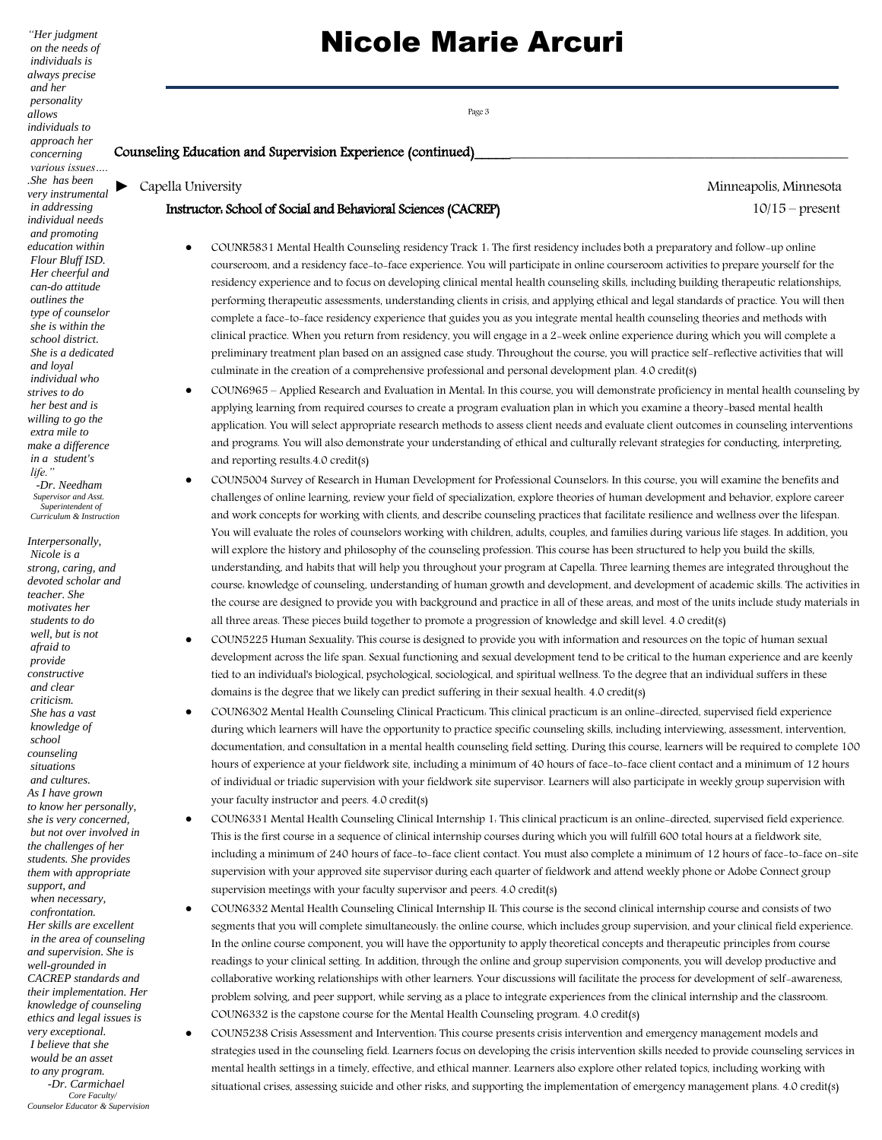*"Her judgment on the needs of individuals is always precise and her personality allows individuals to approach her concerning various issues…. .She has been very instrumental in addressing individual needs and promoting education within Flour Bluff ISD.· Her cheerful and can-do attitude outlines the type of counselor she is within the school district. She is a dedicated and loyal individual who strives to do her best and is willing to go the extra mile to make a difference in a student's life." -Dr. Needham Supervisor and Asst. Superintendent of Curriculum & Instruction*

*Interpersonally, Nicole is a strong, caring, and devoted scholar and teacher. She motivates her students to do well, but is not afraid to provide constructive and clear criticism. She has a vast knowledge of school counseling situations and cultures. As I have grown to know her personally, she is very concerned, but not over involved in the challenges of her students. She provides them with appropriate support, and when necessary, confrontation. Her skills are excellent in the area of counseling and supervision. She is well-grounded in CACREP standards and their implementation. Her knowledge of counseling ethics and legal issues is very exceptional. I believe that she would be an asset to any program. -Dr. Carmichael Core Faculty/ Counselor Educator & Supervision*

# Nicole Marie Arcuri

### Counseling Education and Supervision Experience (continued)

*►* Capella University Minneapolis, Minnesota

### Instructor: School of Social and Behavioral Sciences (CACREP) 10/15 – present

- COUNR5831 Mental Health Counseling residency Track 1: The first residency includes both a preparatory and follow-up online courseroom, and a residency face-to-face experience. You will participate in online courseroom activities to prepare yourself for the residency experience and to focus on developing clinical mental health counseling skills, including building therapeutic relationships, performing therapeutic assessments, understanding clients in crisis, and applying ethical and legal standards of practice. You will then complete a face-to-face residency experience that guides you as you integrate mental health counseling theories and methods with clinical practice. When you return from residency, you will engage in a 2-week online experience during which you will complete a preliminary treatment plan based on an assigned case study. Throughout the course, you will practice self-reflective activities that will culminate in the creation of a comprehensive professional and personal development plan. 4.0 credit(s)
- COUN6965 Applied Research and Evaluation in Mental: In this course, you will demonstrate proficiency in mental health counseling by applying learning from required courses to create a program evaluation plan in which you examine a theory-based mental health application. You will select appropriate research methods to assess client needs and evaluate client outcomes in counseling interventions and programs. You will also demonstrate your understanding of ethical and culturally relevant strategies for conducting, interpreting, and reporting results.4.0 credit(s)
- COUN5004 Survey of Research in Human Development for Professional Counselors: In this course, you will examine the benefits and challenges of online learning, review your field of specialization, explore theories of human development and behavior, explore career and work concepts for working with clients, and describe counseling practices that facilitate resilience and wellness over the lifespan. You will evaluate the roles of counselors working with children, adults, couples, and families during various life stages. In addition, you will explore the history and philosophy of the counseling profession. This course has been structured to help you build the skills, understanding, and habits that will help you throughout your program at Capella. Three learning themes are integrated throughout the course: knowledge of counseling, understanding of human growth and development, and development of academic skills. The activities in the course are designed to provide you with background and practice in all of these areas, and most of the units include study materials in all three areas. These pieces build together to promote a progression of knowledge and skill level. 4.0 credit(s)
- COUN5225 Human Sexuality: This course is designed to provide you with information and resources on the topic of human sexual development across the life span. Sexual functioning and sexual development tend to be critical to the human experience and are keenly tied to an individual's biological, psychological, sociological, and spiritual wellness. To the degree that an individual suffers in these domains is the degree that we likely can predict suffering in their sexual health. 4.0 credit(s)
- COUN6302 Mental Health Counseling Clinical Practicum: This clinical practicum is an online-directed, supervised field experience during which learners will have the opportunity to practice specific counseling skills, including interviewing, assessment, intervention, documentation, and consultation in a mental health counseling field setting. During this course, learners will be required to complete 100 hours of experience at your fieldwork site, including a minimum of 40 hours of face-to-face client contact and a minimum of 12 hours of individual or triadic supervision with your fieldwork site supervisor. Learners will also participate in weekly group supervision with your faculty instructor and peers. 4.0 credit(s)
- COUN6331 Mental Health Counseling Clinical Internship 1: This clinical practicum is an online-directed, supervised field experience. This is the first course in a sequence of clinical internship courses during which you will fulfill 600 total hours at a fieldwork site, including a minimum of 240 hours of face-to-face client contact. You must also complete a minimum of 12 hours of face-to-face on-site supervision with your approved site supervisor during each quarter of fieldwork and attend weekly phone or Adobe Connect group supervision meetings with your faculty supervisor and peers. 4.0 credit(s)
- COUN6332 Mental Health Counseling Clinical Internship II: This course is the second clinical internship course and consists of two segments that you will complete simultaneously: the online course, which includes group supervision, and your clinical field experience. In the online course component, you will have the opportunity to apply theoretical concepts and therapeutic principles from course readings to your clinical setting. In addition, through the online and group supervision components, you will develop productive and collaborative working relationships with other learners. Your discussions will facilitate the process for development of self-awareness, problem solving, and peer support, while serving as a place to integrate experiences from the clinical internship and the classroom. COUN6332 is the capstone course for the Mental Health Counseling program. 4.0 credit(s)
- COUN5238 Crisis Assessment and Intervention: This course presents crisis intervention and emergency management models and strategies used in the counseling field. Learners focus on developing the crisis intervention skills needed to provide counseling services in mental health settings in a timely, effective, and ethical manner. Learners also explore other related topics, including working with situational crises, assessing suicide and other risks, and supporting the implementation of emergency management plans. 4.0 credit(s)

Page 3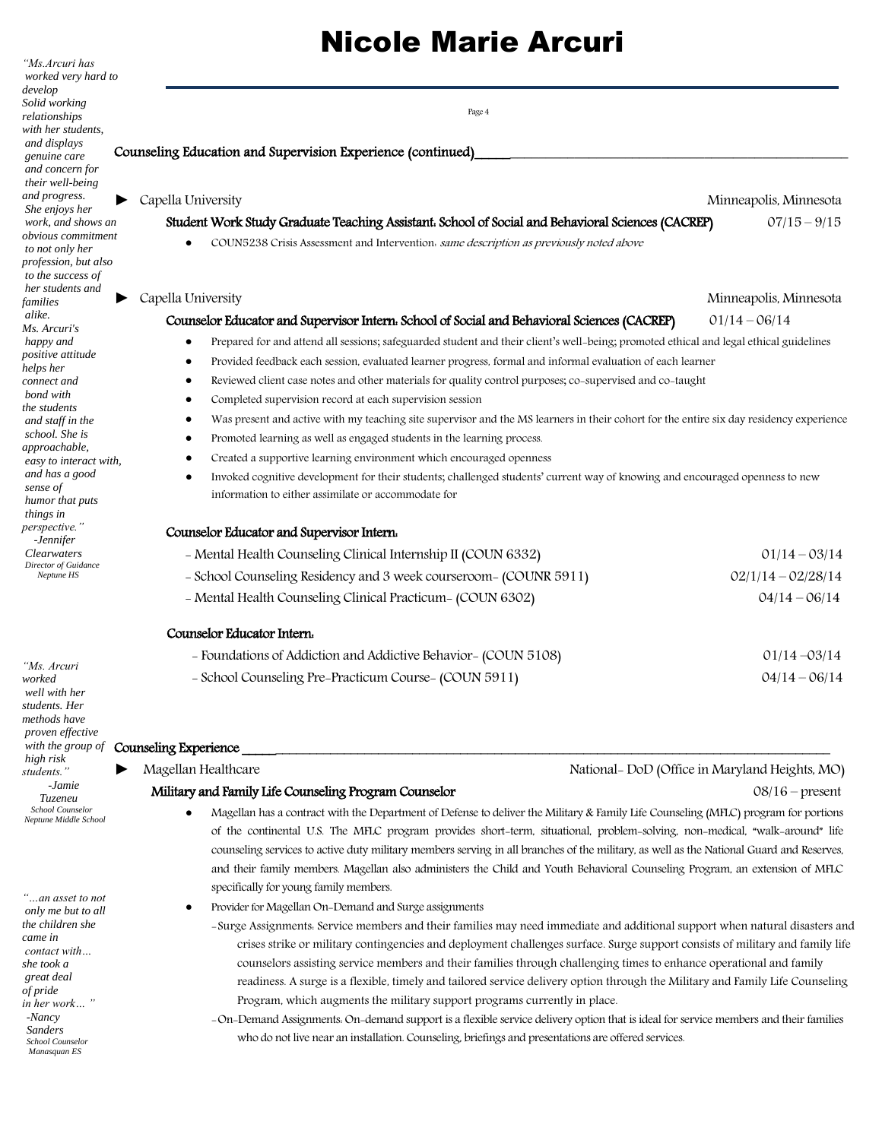| 'Ms.Arcuri has<br>worked very hard to                                                                                                                                                                                                                                                               |                                                                                                                                                                                                                                                                                                                                                                                                                                                                                                                                                                                                                                                                                                                                                                                                                                                                                                                                                                                                                                                                                                                |                        |  |
|-----------------------------------------------------------------------------------------------------------------------------------------------------------------------------------------------------------------------------------------------------------------------------------------------------|----------------------------------------------------------------------------------------------------------------------------------------------------------------------------------------------------------------------------------------------------------------------------------------------------------------------------------------------------------------------------------------------------------------------------------------------------------------------------------------------------------------------------------------------------------------------------------------------------------------------------------------------------------------------------------------------------------------------------------------------------------------------------------------------------------------------------------------------------------------------------------------------------------------------------------------------------------------------------------------------------------------------------------------------------------------------------------------------------------------|------------------------|--|
| develop<br>Solid working<br>relationships<br>with her students,                                                                                                                                                                                                                                     | Page 4                                                                                                                                                                                                                                                                                                                                                                                                                                                                                                                                                                                                                                                                                                                                                                                                                                                                                                                                                                                                                                                                                                         |                        |  |
| and displays<br>genuine care<br>and concern for<br>their well-being                                                                                                                                                                                                                                 | Counseling Education and Supervision Experience (continued)                                                                                                                                                                                                                                                                                                                                                                                                                                                                                                                                                                                                                                                                                                                                                                                                                                                                                                                                                                                                                                                    |                        |  |
| and progress.                                                                                                                                                                                                                                                                                       | Capella University                                                                                                                                                                                                                                                                                                                                                                                                                                                                                                                                                                                                                                                                                                                                                                                                                                                                                                                                                                                                                                                                                             | Minneapolis, Minnesota |  |
| She enjoys her<br>work, and shows an                                                                                                                                                                                                                                                                | Student Work Study Graduate Teaching Assistant. School of Social and Behavioral Sciences (CACREP)                                                                                                                                                                                                                                                                                                                                                                                                                                                                                                                                                                                                                                                                                                                                                                                                                                                                                                                                                                                                              | $07/15 - 9/15$         |  |
| obvious commitment<br>to not only her<br>profession, but also<br>to the success of                                                                                                                                                                                                                  | COUN5238 Crisis Assessment and Intervention. same description as previously noted above                                                                                                                                                                                                                                                                                                                                                                                                                                                                                                                                                                                                                                                                                                                                                                                                                                                                                                                                                                                                                        |                        |  |
| her students and<br>families                                                                                                                                                                                                                                                                        | Capella University                                                                                                                                                                                                                                                                                                                                                                                                                                                                                                                                                                                                                                                                                                                                                                                                                                                                                                                                                                                                                                                                                             | Minneapolis, Minnesota |  |
| alike.                                                                                                                                                                                                                                                                                              | Counselor Educator and Supervisor Intern. School of Social and Behavioral Sciences (CACREP)                                                                                                                                                                                                                                                                                                                                                                                                                                                                                                                                                                                                                                                                                                                                                                                                                                                                                                                                                                                                                    | $01/14 - 06/14$        |  |
| Ms. Arcuri's<br>happy and<br>positive attitude<br>helps her<br>connect and<br>bond with<br>the students<br>and staff in the<br>school. She is<br>approachable,<br>easy to interact with.<br>and has a good<br>sense of<br>humor that puts<br>things in<br>perspective."<br>-Jennifer<br>Clearwaters | Prepared for and attend all sessions; safeguarded student and their client's well-being; promoted ethical and legal ethical guidelines<br>Provided feedback each session, evaluated learner progress, formal and informal evaluation of each learner<br>$\bullet$<br>Reviewed client case notes and other materials for quality control purposes; co-supervised and co-taught<br>$\bullet$<br>Completed supervision record at each supervision session<br>٠<br>Was present and active with my teaching site supervisor and the MS learners in their cohort for the entire six day residency experience<br>$\bullet$<br>Promoted learning as well as engaged students in the learning process.<br>$\bullet$<br>Created a supportive learning environment which encouraged openness<br>٠<br>Invoked cognitive development for their students; challenged students' current way of knowing and encouraged openness to new<br>information to either assimilate or accommodate for<br>Counselor Educator and Supervisor Intern.<br>- Mental Health Counseling Clinical Internship II (COUN 6332)<br>$01/14 - 03/14$ |                        |  |
| Director of Guidance<br>Neptune HS                                                                                                                                                                                                                                                                  | - School Counseling Residency and 3 week courseroom- (COUNR 5911)                                                                                                                                                                                                                                                                                                                                                                                                                                                                                                                                                                                                                                                                                                                                                                                                                                                                                                                                                                                                                                              | $02/1/14 - 02/28/14$   |  |
|                                                                                                                                                                                                                                                                                                     | - Mental Health Counseling Clinical Practicum- (COUN 6302)                                                                                                                                                                                                                                                                                                                                                                                                                                                                                                                                                                                                                                                                                                                                                                                                                                                                                                                                                                                                                                                     | $04/14 - 06/14$        |  |
|                                                                                                                                                                                                                                                                                                     | Counselor Educator Intern.                                                                                                                                                                                                                                                                                                                                                                                                                                                                                                                                                                                                                                                                                                                                                                                                                                                                                                                                                                                                                                                                                     |                        |  |
|                                                                                                                                                                                                                                                                                                     | - Foundations of Addiction and Addictive Behavior- (COUN 5108)                                                                                                                                                                                                                                                                                                                                                                                                                                                                                                                                                                                                                                                                                                                                                                                                                                                                                                                                                                                                                                                 | $01/14 - 03/14$        |  |
| "Ms. Arcuri<br>worked<br>well with her<br>students. Her<br>methods have                                                                                                                                                                                                                             | - School Counseling Pre-Practicum Course- (COUN 5911)                                                                                                                                                                                                                                                                                                                                                                                                                                                                                                                                                                                                                                                                                                                                                                                                                                                                                                                                                                                                                                                          | $04/14 - 06/14$        |  |

### *with the group of* Counseling Experience \_\_\_\_\_\_\_\_\_\_\_\_\_\_\_\_\_\_\_\_\_\_\_\_\_\_\_\_\_\_\_\_\_\_\_\_\_\_\_\_\_\_\_\_\_\_\_\_\_\_\_\_\_\_\_\_\_\_\_\_\_\_\_\_\_\_\_\_\_\_\_\_\_\_\_\_\_\_\_\_\_\_\_\_\_\_

- *►* Magellan Healthcare National- DoD (Office in Maryland Heights, MO) Military and Family Life Counseling Program Counselor and Equation 1886 16 – present
	- Magellan has a contract with the Department of Defense to deliver the Military & Family Life Counseling (MFLC) program for portions of the continental U.S. The MFLC program provides short-term, situational, problem-solving, non-medical, "walk-around" life counseling services to active duty military members serving in all branches of the military, as well as the National Guard and Reserves, and their family members. Magellan also administers the Child and Youth Behavioral Counseling Program, an extension of MFLC specifically for young family members.

• Provider for Magellan On-Demand and Surge assignments

- -Surge Assignments: Service members and their families may need immediate and additional support when natural disasters and crises strike or military contingencies and deployment challenges surface. Surge support consists of military and family life counselors assisting service members and their families through challenging times to enhance operational and family readiness. A surge is a flexible, timely and tailored service delivery option through the Military and Family Life Counseling Program, which augments the military support programs currently in place.
- -On-Demand Assignments: On-demand support is a flexible service delivery option that is ideal for service members and their families who do not live near an installation. Counseling, briefings and presentations are offered services.

*only me but to all the children she came in contact with… she took a great deal of pride in her work… " -Nancy Sanders School Counselor* 

 *Manasquan ES*

*"…an asset to not*

*proven effective*

*high risk students." -Jamie Tuzeneu School Counselor Neptune Middle School*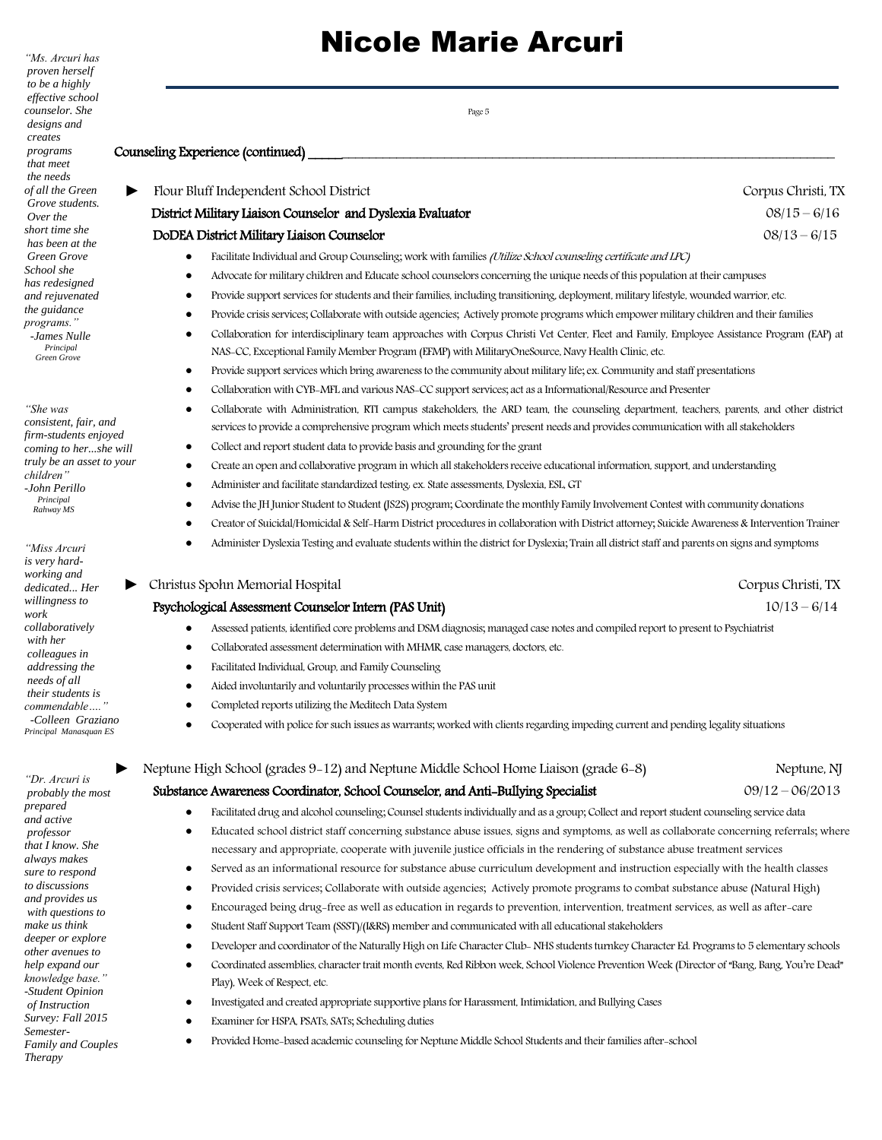| to be a highly                                 |                                                                                                                                                       |                    |  |  |
|------------------------------------------------|-------------------------------------------------------------------------------------------------------------------------------------------------------|--------------------|--|--|
| effective school<br>counselor. She             |                                                                                                                                                       |                    |  |  |
| designs and                                    | Page 5                                                                                                                                                |                    |  |  |
| creates                                        |                                                                                                                                                       |                    |  |  |
| programs<br>that meet                          | Counseling Experience (continued)                                                                                                                     |                    |  |  |
| the needs                                      |                                                                                                                                                       |                    |  |  |
| of all the Green                               | Flour Bluff Independent School District                                                                                                               | Corpus Christi, TX |  |  |
| Grove students.<br>Over the                    | District Military Liaison Counselor and Dyslexia Evaluator                                                                                            | $08/15 - 6/16$     |  |  |
| short time she                                 | DoDEA District Military Liaison Counselor                                                                                                             | $08/13 - 6/15$     |  |  |
| has been at the<br><b>Green Grove</b>          | Facilitate Individual and Group Counseling; work with families (Utilize School counseling certificate and LPC)<br>٠                                   |                    |  |  |
| School she                                     | Advocate for military children and Educate school counselors concerning the unique needs of this population at their campuses                         |                    |  |  |
| has redesigned<br>and rejuvenated              | Provide support services for students and their families, including transitioning, deployment, military lifestyle, wounded warrior, etc.<br>٠         |                    |  |  |
| the guidance                                   | Provide crisis services; Collaborate with outside agencies; Actively promote programs which empower military children and their families              |                    |  |  |
| programs."<br>-James Nulle                     | Collaboration for interdisciplinary team approaches with Corpus Christi Vet Center, Fleet and Family, Employee Assistance Program (EAP) at            |                    |  |  |
| Principal<br>Green Grove                       | NAS-CC, Exceptional Family Member Program (EFMP) with MilitaryOneSource, Navy Health Clinic, etc.                                                     |                    |  |  |
|                                                | Provide support services which bring awareness to the community about military life; ex. Community and staff presentations<br>٠                       |                    |  |  |
|                                                | Collaboration with CYB-MFL and various NAS-CC support services; act as a Informational/Resource and Presenter                                         |                    |  |  |
| "She was                                       | Collaborate with Administration, RTI campus stakeholders, the ARD team, the counseling department, teachers, parents, and other district              |                    |  |  |
| consistent, fair, and                          | services to provide a comprehensive program which meets students' present needs and provides communication with all stakeholders                      |                    |  |  |
| firm-students enjoyed<br>coming to hershe will | Collect and report student data to provide basis and grounding for the grant<br>٠                                                                     |                    |  |  |
| truly be an asset to your                      | Create an open and collaborative program in which all stakeholders receive educational information, support, and understanding<br>٠                   |                    |  |  |
| children"<br>-John Perillo                     | Administer and facilitate standardized testing. ex. State assessments, Dyslexia, ESL, GT                                                              |                    |  |  |
| Principal<br>Rahway MS                         | Advise the JH Junior Student to Student (JS2S) program; Coordinate the monthly Family Involvement Contest with community donations                    |                    |  |  |
|                                                | Creator of Suicidal/Homicidal & Self-Harm District procedures in collaboration with District attorney; Suicide Awareness & Intervention Trainer       |                    |  |  |
| "Miss Arcuri                                   | Administer Dyslexia Testing and evaluate students within the district for Dyslexia; Train all district staff and parents on signs and symptoms        |                    |  |  |
| is very hard-                                  |                                                                                                                                                       |                    |  |  |
| working and                                    | Christus Spohn Memorial Hospital                                                                                                                      | Corpus Christi, TX |  |  |
| dedicated Her<br>willingness to                | Psychological Assessment Counselor Intern (PAS Unit)                                                                                                  | $10/13 - 6/14$     |  |  |
| work<br>collaboratively                        |                                                                                                                                                       |                    |  |  |
| with her                                       | Assessed patients, identified core problems and DSM diagnosis; managed case notes and compiled report to present to Psychiatrist                      |                    |  |  |
| colleagues in                                  | Collaborated assessment determination with MHMR, case managers, doctors, etc.<br>$\bullet$                                                            |                    |  |  |
| addressing the<br>needs of all                 | Facilitated Individual, Group, and Family Counseling                                                                                                  |                    |  |  |
| their students is                              | Aided involuntarily and voluntarily processes within the PAS unit                                                                                     |                    |  |  |
| commendable  "<br>-Colleen Graziano            | Completed reports utilizing the Meditech Data System                                                                                                  |                    |  |  |
| Principal Manasquan ES                         | Cooperated with police for such issues as warrants; worked with clients regarding impeding current and pending legality situations                    |                    |  |  |
|                                                | Neptune High School (grades 9-12) and Neptune Middle School Home Liaison (grade 6-8)                                                                  | Neptune, NJ        |  |  |
| "Dr. Arcuri is<br>probably the most            | Substance Awareness Coordinator, School Counselor, and Anti-Bullying Specialist                                                                       | $09/12 - 06/2013$  |  |  |
| prepared                                       | Facilitated drug and alcohol counseling; Counsel students individually and as a group; Collect and report student counseling service data             |                    |  |  |
| and active<br>professor                        | Educated school district staff concerning substance abuse issues, signs and symptoms, as well as collaborate concerning referrals; where<br>$\bullet$ |                    |  |  |
| that I know. She                               | necessary and appropriate, cooperate with juvenile justice officials in the rendering of substance abuse treatment services                           |                    |  |  |
| always makes<br>sure to respond                | Served as an informational resource for substance abuse curriculum development and instruction especially with the health classes<br>٠                |                    |  |  |
| to discussions                                 | Provided crisis services; Collaborate with outside agencies; Actively promote programs to combat substance abuse (Natural High)<br>$\bullet$          |                    |  |  |
| and provides us                                | Encouraged being drug-free as well as education in regards to prevention, intervention, treatment services, as well as after-care<br>٠                |                    |  |  |
| with questions to<br>make us think             | Student Staff Support Team (SSST)/(I&RS) member and communicated with all educational stakeholders<br>٠                                               |                    |  |  |
| deeper or explore<br>thar avanuas te           | Developer and coordinator of the Naturally High on Life Character Club-NHS students turnkey Character Ed. Programs to 5 elementary schools<br>٠       |                    |  |  |

- Coordinated assemblies, character trait month events, Red Ribbon week, School Violence Prevention Week (Director of "Bang, Bang, You're Dead" Play), Week of Respect, etc.
	- Investigated and created appropriate supportive plans for Harassment, Intimidation, and Bullying Cases
- Examiner for HSPA, PSATs, SATs; Scheduling duties
- Provided Home-based academic counseling for Neptune Middle School Students and their families after-school

*"Ms. Arcuri has proven herself*

*"Dr. Ar*  $probab$ prepare and act *profess that I kn*  $always$ *sure to* to discu and pro *with*  $q$ *make us*  $deeper$ *other avenues to help expand our knowledge base." -Student Opinion of Instruction Survey: Fall 2015 Semester-Family and Couples Therapy*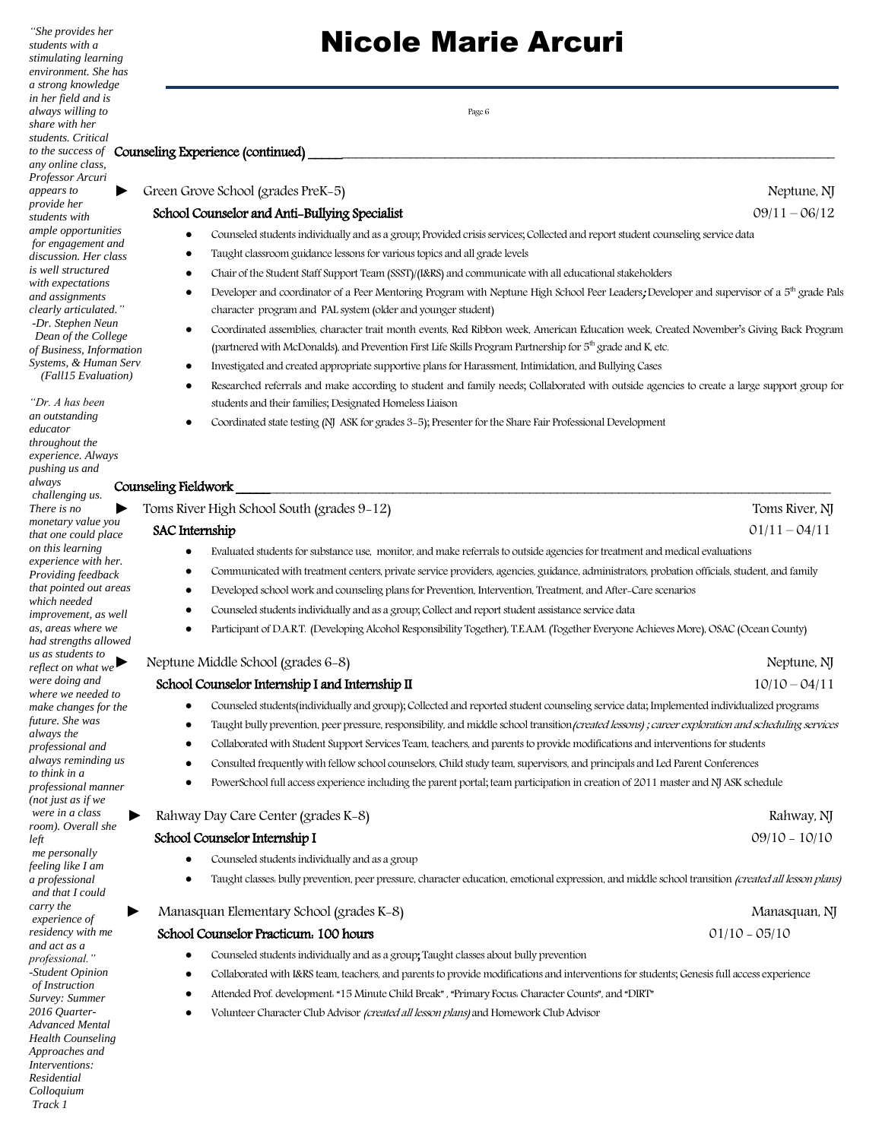*"She provides her students with a stimulating learning environment. She has a strong knowledge in her field and is always willing to share with her students. Critical to the success of any online class, Professor Arcuri appears to provide her students with ample opportunities for engagement and discussion. Her class is well structured with expectations and assignments clearly articulated." -Dr. Stephen Neun Dean of the College of Business, Information*  $Systems, & Human Servi$  *(Fall15 Evaluation)*

*"Dr. A has been an outstanding educator throughout the experience. Always pushing us and always challenging us. There is no monetary value you that one could pla on this learning*   $experience with$ *hexperience with here. Providing feedback that pointed out are which needed improvement, as v as, areas where w had strengths allo us as students to reflect on what we were doing and*  where we needed *make changes for future. She was always the professional and*   $always$  *reminding to think in a*   $professional$  mann *(not just as if we were in a class*   $room$ ). Overall she *left me personally feeling like I am a professional and that I could* 

*carry the experience of residency with me and act as a professional." -Student Opinion of Instruction Survey: Summer 2016 Quarter-Advanced Mental Health Counseling Approaches and Interventions: Residential Colloquium*

*Track 1*

# Nicole Marie Arcuri

Page 6

### Counseling Experience (continued)

### *►* Green Grove School (grades PreK-5) Neptune, NJ

### School Counselor and Anti-Bullying Specialist 09/11 – 06/12

- Counseled students individually and as a group; Provided crisis services; Collected and report student counseling service data
- Taught classroom guidance lessons for various topics and all grade levels
- Chair of the Student Staff Support Team (SSST)/(I&RS) and communicate with all educational stakeholders
- Developer and coordinator of a Peer Mentoring Program with Neptune High School Peer Leaders; Developer and supervisor of a 5<sup>th</sup> grade Pals character program and PAL system (older and younger student)
- Coordinated assemblies, character trait month events, Red Ribbon week, American Education week, Created November's Giving Back Program (partnered with McDonalds), and Prevention First Life Skills Program Partnership for 5<sup>th</sup> grade and K, etc.
- Investigated and created appropriate supportive plans for Harassment, Intimidation, and Bullying Cases
- Researched referrals and make according to student and family needs; Collaborated with outside agencies to create a large support group for students and their families; Designated Homeless Liaison
- Coordinated state testing (NJ ASK for grades 3-5); Presenter for the Share Fair Professional Development

### Counseling Fieldwork \_\_\_\_\_\_\_\_\_\_\_\_\_\_\_\_\_\_\_\_\_\_\_\_\_\_\_\_\_\_\_\_\_\_\_\_\_\_\_\_\_\_\_\_\_\_\_\_\_\_\_\_\_\_\_\_\_\_\_\_\_\_\_\_\_\_\_\_\_\_\_\_\_\_\_\_\_\_\_\_\_\_\_\_\_\_\_

| ▶          | Toms River High School South (grades 9-12)<br>Toms River, NJ                                                                                        |                 |  |
|------------|-----------------------------------------------------------------------------------------------------------------------------------------------------|-----------------|--|
| эu<br>ıce  | <b>SAC</b> Internship                                                                                                                               | $01/11 - 04/11$ |  |
|            | Evaluated students for substance use, monitor, and make referrals to outside agencies for treatment and medical evaluations                         |                 |  |
| er.<br>сk  | Communicated with treatment centers, private service providers, agencies, guidance, administrators, probation officials, student, and family        |                 |  |
| reas       | Developed school work and counseling plans for Prevention, Intervention, Treatment, and After-Care scenarios<br>$\bullet$                           |                 |  |
| vell       | Counseled students individually and as a group; Collect and report student assistance service data                                                  |                 |  |
| чe<br>wed  | Participant of D.A.R.T. (Developing Alcohol Responsibility Together), T.E.A.M. (Together Everyone Achieves More), OSAC (Ocean County)               |                 |  |
| P,         | Neptune Middle School (grades 6-8)                                                                                                                  | Neptune, NJ     |  |
|            | School Counselor Internship I and Internship II                                                                                                     | $10/10 - 04/11$ |  |
| to<br>the  | Counseled students (individually and group); Collected and reported student counseling service data; Implemented individualized programs            |                 |  |
|            | Taught bully prevention, peer pressure, responsibility, and middle school transition (created lessons); career exploration and scheduling services  |                 |  |
|            | Collaborated with Student Support Services Team, teachers, and parents to provide modifications and interventions for students                      |                 |  |
| us         | Consulted frequently with fellow school counselors, Child study team, supervisors, and principals and Led Parent Conferences                        |                 |  |
| rer        | PowerSchool full access experience including the parent portal; team participation in creation of 2011 master and NJ ASK schedule                   |                 |  |
| $\epsilon$ | Rahway Day Care Center (grades K-8)                                                                                                                 | Rahway, NJ      |  |
|            | School Counselor Internship I                                                                                                                       | $09/10 - 10/10$ |  |
|            | Counseled students individually and as a group                                                                                                      |                 |  |
|            | Taught classes. bully prevention, peer pressure, character education, emotional expression, and middle school transition (created all lesson plans) |                 |  |
|            | Manasquan Elementary School (grades K-8)                                                                                                            | Manasquan, NJ   |  |
|            | School Counselor Practicum. 100 hours                                                                                                               | $01/10 - 05/10$ |  |
|            | Counseled students individually and as a group; Taught classes about bully prevention                                                               |                 |  |
|            | Collaborated with I&RS team, teachers, and parents to provide modifications and interventions for students; Genesis full access experience          |                 |  |
|            | Attended Prof. development. "15 Minute Child Break", "Primary Focus. Character Counts", and "DIRT"                                                  |                 |  |

- 
- Volunteer Character Club Advisor (created all lesson plans) and Homework Club Advisor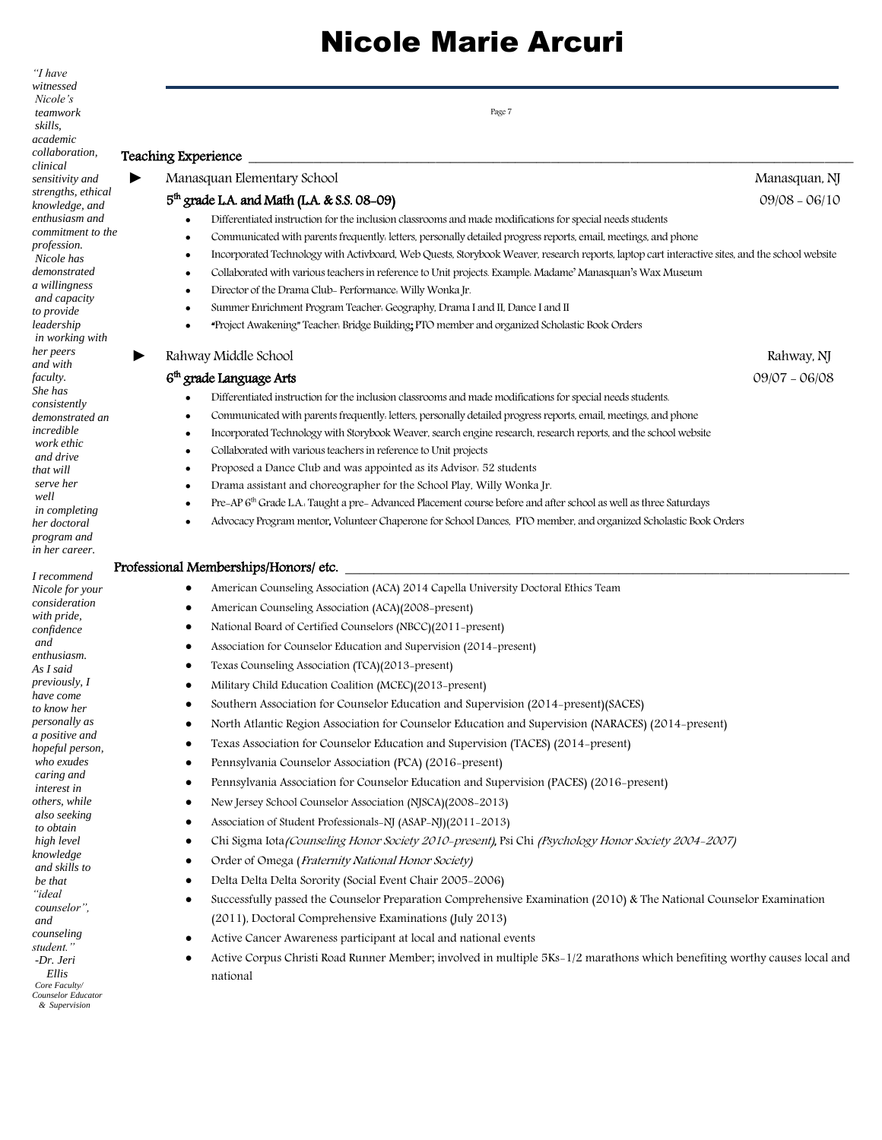| $\lq$ have<br>witnessed              |                                                                                                                                                     |                 |
|--------------------------------------|-----------------------------------------------------------------------------------------------------------------------------------------------------|-----------------|
| Nicole's                             |                                                                                                                                                     |                 |
| teamwork<br>skills,                  | Page 7                                                                                                                                              |                 |
| academic                             |                                                                                                                                                     |                 |
| collaboration,<br>clinical           | Teaching Experience                                                                                                                                 |                 |
| sensitivity and                      | Manasquan Elementary School                                                                                                                         | Manasquan, NJ   |
| strengths, ethical<br>knowledge, and | $5th$ grade L.A. and Math (L.A. & S.S. 08-09)                                                                                                       | $09/08 - 06/10$ |
| enthusiasm and                       | Differentiated instruction for the inclusion classrooms and made modifications for special needs students                                           |                 |
| commitment to the                    | Communicated with parents frequently. letters, personally detailed progress reports, email, meetings, and phone                                     |                 |
| <i>profession.</i><br>Nicole has     | Incorporated Technology with Activboard, Web Quests, Storybook Weaver, research reports, laptop cart interactive sites, and the school website<br>٠ |                 |
| demonstrated                         | Collaborated with various teachers in reference to Unit projects. Example. Madame' Manasquan's Wax Museum<br>٠                                      |                 |
| a willingness<br>and capacity        | Director of the Drama Club- Performance. Willy Wonka Jr.<br>٠                                                                                       |                 |
| to provide                           | Summer Enrichment Program Teacher: Geography, Drama I and II, Dance I and II<br>٠                                                                   |                 |
| leadership<br>in working with        | "Project Awakening" Teacher: Bridge Building; PTO member and organized Scholastic Book Orders<br>٠                                                  |                 |
| her peers<br>and with                | Rahway Middle School                                                                                                                                | Rahway, NJ      |
| <i>faculty.</i>                      | 6 <sup>th</sup> grade Language Arts                                                                                                                 | $09/07 - 06/08$ |
| She has<br>consistently              | Differentiated instruction for the inclusion classrooms and made modifications for special needs students.                                          |                 |
| demonstrated an                      | Communicated with parents frequently. letters, personally detailed progress reports, email, meetings, and phone<br>٠                                |                 |
| incredible                           | Incorporated Technology with Storybook Weaver, search engine research, research reports, and the school website<br>٠                                |                 |
| work ethic<br>and drive              | Collaborated with various teachers in reference to Unit projects                                                                                    |                 |
| that will                            | Proposed a Dance Club and was appointed as its Advisor. 52 students<br>٠                                                                            |                 |
| serve her<br>well                    | Drama assistant and choreographer for the School Play, Willy Wonka Jr.<br>$\bullet$                                                                 |                 |
| <i>in completing</i>                 | Pre-AP 6 <sup>th</sup> Grade LA. Taught a pre-Advanced Placement course before and after school as well as three Saturdays                          |                 |
| her doctoral                         | Advocacy Program mentor, Volunteer Chaperone for School Dances, PTO member, and organized Scholastic Book Orders                                    |                 |
| program and<br>in her career.        |                                                                                                                                                     |                 |
|                                      | Professional Memberships/Honors/ etc.                                                                                                               |                 |
| I recommend<br>Nicole for your       | American Counseling Association (ACA) 2014 Capella University Doctoral Ethics Team<br>٠                                                             |                 |
| consideration                        | American Counseling Association (ACA)(2008-present)<br>٠                                                                                            |                 |
| with pride,<br>confidence            | National Board of Certified Counselors (NBCC)(2011-present)<br>٠                                                                                    |                 |
| and                                  | Association for Counselor Education and Supervision (2014–present)<br>٠                                                                             |                 |
| enthusiasm.<br>As I said             | Texas Counseling Association (TCA)(2013-present)<br>٠                                                                                               |                 |
| <i>previously, I</i>                 | Military Child Education Coalition (MCEC)(2013-present)                                                                                             |                 |
| have come                            | Southern Association for Counselor Education and Supervision (2014–present) (SACES)                                                                 |                 |
| to know her<br>personally as         | North Atlantic Region Association for Counselor Education and Supervision (NARACES) (2014-present)<br>٠                                             |                 |
| a positive and                       | Texas Association for Counselor Education and Supervision (TACES) (2014-present)<br>٠                                                               |                 |
| hopeful person,<br>who exudes        | Pennsylvania Counselor Association (PCA) (2016-present)<br>٠                                                                                        |                 |
| caring and                           |                                                                                                                                                     |                 |
| interest in<br>others, while         | Pennsylvania Association for Counselor Education and Supervision (PACES) (2016-present)<br>٠                                                        |                 |
| also seeking                         | New Jersey School Counselor Association (NJSCA)(2008-2013)<br>٠                                                                                     |                 |
| to obtain                            | Association of Student Professionals-NJ (ASAP-NJ)(2011-2013)<br>٠                                                                                   |                 |
| high level<br>knowledge              | Chi Sigma Iota (Counseling Honor Society 2010-present), Psi Chi (Psychology Honor Society 2004-2007)<br>٠                                           |                 |
| and skills to                        | Order of Omega (Fraternity National Honor Society)<br>٠                                                                                             |                 |
| be that<br>"ideal                    | Delta Delta Delta Sorority (Social Event Chair 2005-2006)<br>٠                                                                                      |                 |
| counselor",                          | Successfully passed the Counselor Preparation Comprehensive Examination (2010) & The National Counselor Examination<br>٠                            |                 |
| and                                  | (2011), Doctoral Comprehensive Examinations (July 2013)                                                                                             |                 |
| counseling<br>student."              | Active Cancer Awareness participant at local and national events<br>٠                                                                               |                 |
| -Dr. Jeri                            | Active Corpus Christi Road Runner Member; involved in multiple 5Ks-1/2 marathons which benefiting worthy causes local and<br>٠                      |                 |
| Ellis<br>Core Faculty/               | national                                                                                                                                            |                 |
| Counselor Educator<br>& Supervision  |                                                                                                                                                     |                 |
|                                      |                                                                                                                                                     |                 |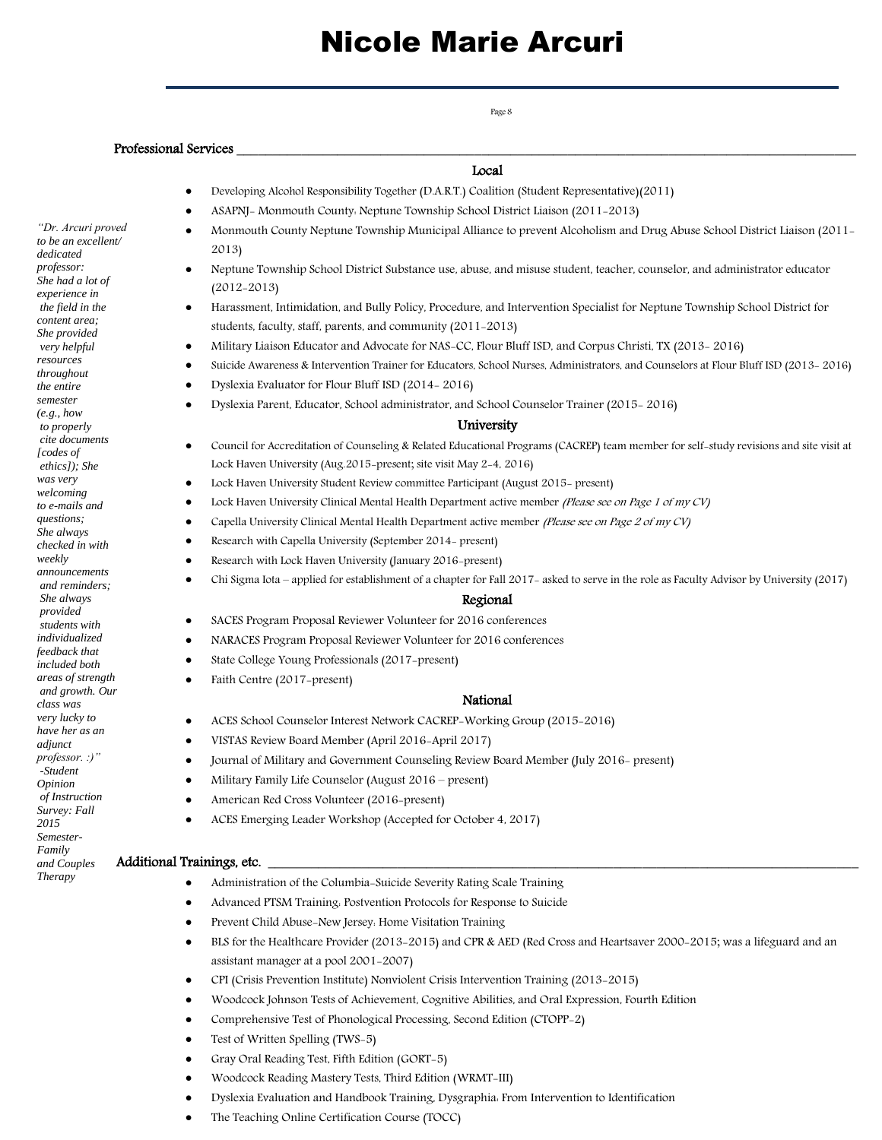Professional Services

Local

- Developing Alcohol Responsibility Together (D.A.R.T.) Coalition (Student Representative)(2011)
- ASAPNJ- Monmouth County: Neptune Township School District Liaison (2011-2013)
- Monmouth County Neptune Township Municipal Alliance to prevent Alcoholism and Drug Abuse School District Liaison (2011- 2013)
- Neptune Township School District Substance use, abuse, and misuse student, teacher, counselor, and administrator educator (2012-2013)
- Harassment, Intimidation, and Bully Policy, Procedure, and Intervention Specialist for Neptune Township School District for students, faculty, staff, parents, and community (2011-2013)
- Military Liaison Educator and Advocate for NAS-CC, Flour Bluff ISD, and Corpus Christi, TX (2013- 2016)
- Suicide Awareness & Intervention Trainer for Educators, School Nurses, Administrators, and Counselors at Flour Bluff ISD (2013- 2016)
- Dyslexia Evaluator for Flour Bluff ISD (2014- 2016)
- Dyslexia Parent, Educator, School administrator, and School Counselor Trainer (2015- 2016)

### University

- Council for Accreditation of Counseling & Related Educational Programs (CACREP) team member for self-study revisions and site visit at Lock Haven University (Aug.2015-present; site visit May 2-4, 2016)
- Lock Haven University Student Review committee Participant (August 2015- present)
- Lock Haven University Clinical Mental Health Department active member *(Please see on Page 1 of my CV)*
- Capella University Clinical Mental Health Department active member (Please see on Page 2 of my CV)
- Research with Capella University (September 2014- present)
- Research with Lock Haven University (January 2016-present)
- Chi Sigma Iota applied for establishment of a chapter for Fall 2017- asked to serve in the role as Faculty Advisor by University (2017)

#### Regional

- SACES Program Proposal Reviewer Volunteer for 2016 conferences
- NARACES Program Proposal Reviewer Volunteer for 2016 conferences
- State College Young Professionals (2017-present)
- Faith Centre (2017-present)

#### National

- ACES School Counselor Interest Network CACREP-Working Group (2015-2016)
- VISTAS Review Board Member (April 2016-April 2017)
- Journal of Military and Government Counseling Review Board Member (July 2016- present)
- Military Family Life Counselor (August 2016 present)
- American Red Cross Volunteer (2016-present)
- ACES Emerging Leader Workshop (Accepted for October 4, 2017)

#### Additional Trainings, etc.

- Administration of the Columbia-Suicide Severity Rating Scale Training
- Advanced PTSM Training: Postvention Protocols for Response to Suicide
- Prevent Child Abuse-New Jersey: Home Visitation Training
- BLS for the Healthcare Provider (2013-2015) and CPR & AED (Red Cross and Heartsaver 2000-2015; was a lifeguard and an assistant manager at a pool 2001-2007)
- CPI (Crisis Prevention Institute) Nonviolent Crisis Intervention Training (2013-2015)
- Woodcock Johnson Tests of Achievement, Cognitive Abilities, and Oral Expression, Fourth Edition
- Comprehensive Test of Phonological Processing, Second Edition (CTOPP-2)
- Test of Written Spelling (TWS-5)
- Gray Oral Reading Test, Fifth Edition (GORT-5)
- Woodcock Reading Mastery Tests, Third Edition (WRMT-III)
- Dyslexia Evaluation and Handbook Training, Dysgraphia: From Intervention to Identification
- The Teaching Online Certification Course (TOCC)

*"Dr. Arcuri proved to be an excellent/ dedicated professor: She had a lot of experience in the field in the content area; She provided very helpful resources throughout the entire semester (e.g., how to properly cite documents [codes of ethics]); She was very welcoming to e-mails and questions; She always checked in with weekly announcements and reminders; She always provided students with individualized feedback that included both areas of strength and growth. Our class was very lucky to have her as an adjunct professor. :)" -Student Opinion of Instruction Survey: Fall 2015 Semester-Family and Couples Therapy*

### Page 8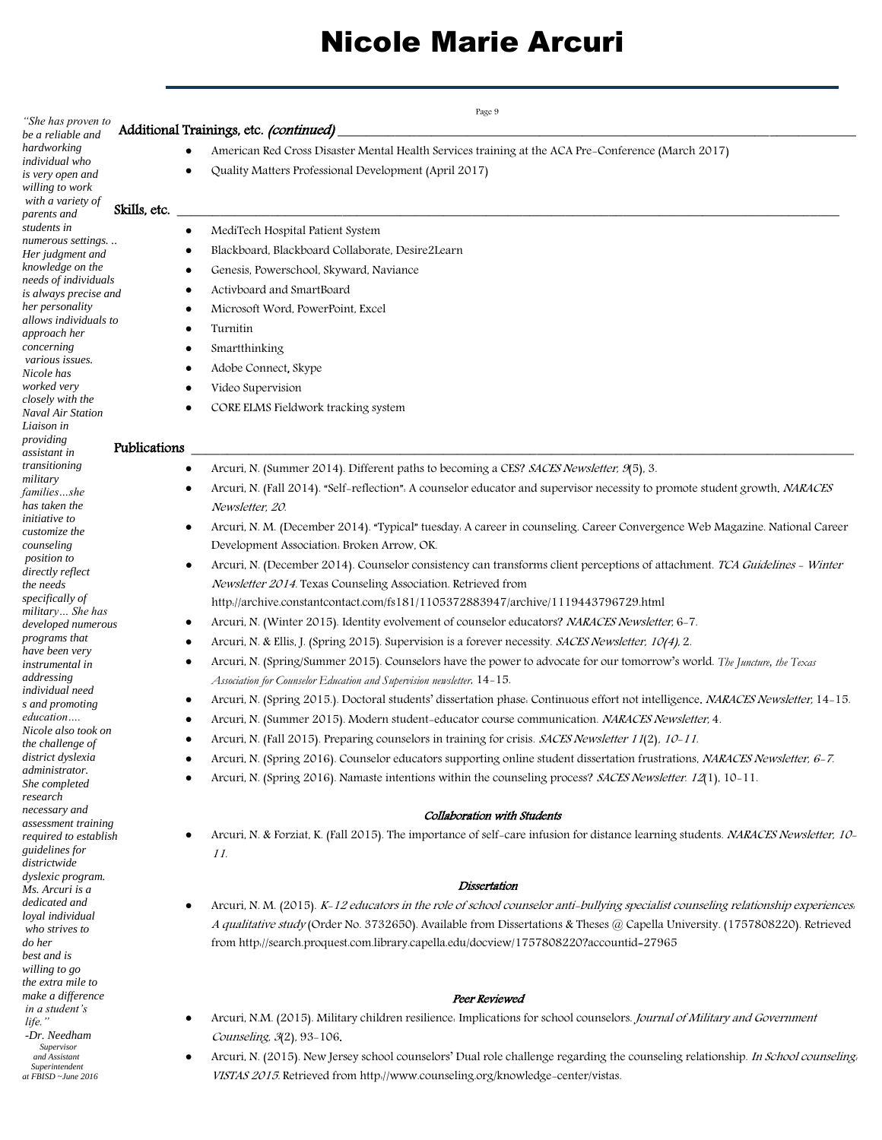| "She has proven to                                  | Page 9<br>Additional Trainings, etc. (continued)                                                                                   |
|-----------------------------------------------------|------------------------------------------------------------------------------------------------------------------------------------|
| be a reliable and<br>hardworking                    | American Red Cross Disaster Mental Health Services training at the ACA Pre-Conference (March 2017)                                 |
| individual who                                      |                                                                                                                                    |
| is very open and                                    | Quality Matters Professional Development (April 2017)                                                                              |
| willing to work<br>with a variety of                |                                                                                                                                    |
| Skills, etc.<br>parents and                         |                                                                                                                                    |
| students in<br>٠                                    | MediTech Hospital Patient System                                                                                                   |
| numerous settings<br>٠<br>Her judgment and          | Blackboard, Blackboard Collaborate, Desire2Learn                                                                                   |
| knowledge on the<br>٠                               | Genesis, Powerschool, Skyward, Naviance                                                                                            |
| needs of individuals<br>٠                           | Activboard and SmartBoard                                                                                                          |
| is always precise and<br>her personality<br>٠       | Microsoft Word, PowerPoint, Excel                                                                                                  |
| allows individuals to<br>$\bullet$                  | Turnitin                                                                                                                           |
| approach her                                        |                                                                                                                                    |
| concerning<br>$\bullet$<br>various issues.          | Smartthinking                                                                                                                      |
| ٠<br>Nicole has                                     | Adobe Connect, Skype                                                                                                               |
| worked very<br>closely with the                     | Video Supervision                                                                                                                  |
| ٠<br><b>Naval Air Station</b>                       | CORE ELMS Fieldwork tracking system                                                                                                |
| Liaison in                                          |                                                                                                                                    |
| providing<br>Publications<br>assistant in           |                                                                                                                                    |
| transitioning<br>٠                                  | Arcuri, N. (Summer 2014). Different paths to becoming a CES? SACES Newsletter, 9(5), 3.                                            |
| military<br>٠                                       | Arcuri, N. (Fall 2014). "Self-reflection": A counselor educator and supervisor necessity to promote student growth. NARACES        |
| familiesshe<br>has taken the                        | Newsletter, 20.                                                                                                                    |
| <i>initiative</i> to                                |                                                                                                                                    |
| ٠<br>customize the                                  | Arcuri, N. M. (December 2014). "Typical" tuesday. A career in counseling. Career Convergence Web Magazine. National Career         |
| counseling<br>position to                           | Development Association. Broken Arrow, OK.                                                                                         |
| ٠<br>directly reflect                               | Arcuri, N. (December 2014). Counselor consistency can transforms client perceptions of attachment. TCA Guidelines - Winter         |
| the needs<br>specifically of                        | Newsletter 2014. Texas Counseling Association. Retrieved from                                                                      |
| military She has                                    | http://archive.constantcontact.com/fs181/1105372883947/archive/1119443796729.html                                                  |
| ٠<br>developed numerous                             | Arcuri, N. (Winter 2015). Identity evolvement of counselor educators? NARACES Newsletter, 6-7.                                     |
| programs that<br>٠<br>have been very                | Arcuri, N. & Ellis, J. (Spring 2015). Supervision is a forever necessity. SACES Newsletter, 10(4), 2.                              |
| ٠<br>instrumental in                                | Arcuri, N. (Spring/Summer 2015). Counselors have the power to advocate for our tomorrow's world. The Juncture, the Texas           |
| addressing                                          | Association for Counselor Education and Supervision newsletter, 14-15.                                                             |
| individual need<br>٠<br>s and promoting             | Arcuri, N. (Spring 2015.). Doctoral students' dissertation phase. Continuous effort not intelligence. NARACES Newsletter, 14-15.   |
| education                                           | Arcuri, N. (Summer 2015). Modern student-educator course communication. NARACES Newsletter, 4.                                     |
| Nicole also took on<br>٠                            | Arcuri, N. (Fall 2015). Preparing counselors in training for crisis. SACES Newsletter 11(2), 10-11.                                |
| the challenge of<br>district dyslexia               | Arcuri, N. (Spring 2016). Counselor educators supporting online student dissertation frustrations, NARACES Newsletter, 6-7.        |
| administrator.                                      | Arcuri, N. (Spring 2016). Namaste intentions within the counseling process? SACES Newsletter. 12(1), 10-11.                        |
| She completed<br>research                           |                                                                                                                                    |
| necessary and                                       | Collaboration with Students                                                                                                        |
| assessment training                                 | Arcuri, N. & Forziat, K. (Fall 2015). The importance of self-care infusion for distance learning students. NARACES Newsletter, 10- |
| required to establish<br>٠<br><i>guidelines for</i> | 11.                                                                                                                                |
| districtwide                                        |                                                                                                                                    |
| dyslexic program.                                   | Dissertation                                                                                                                       |
| Ms. Arcuri is a<br>dedicated and<br>$\bullet$       | Arcuri, N. M. (2015). K-12 educators in the role of school counselor anti-bullying specialist counseling relationship experiences. |
| loyal individual                                    |                                                                                                                                    |
| who strives to                                      | A qualitative study (Order No. 3732650). Available from Dissertations & Theses @ Capella University. (1757808220). Retrieved       |
| do her<br>best and is                               | from http://search.proquest.com.library.capella.edu/docview/1757808220?accountid=27965                                             |
| willing to go                                       |                                                                                                                                    |
| the extra mile to                                   |                                                                                                                                    |
| make a difference<br>in a student's                 | Peer Reviewed                                                                                                                      |
| ٠<br>life."                                         | Arcuri, N.M. (2015). Military children resilience. Implications for school counselors. Journal of Military and Government          |
| -Dr. Needham<br>Supervisor                          | Counseling, 3(2), 93-106.                                                                                                          |
| and Assistant<br>$\bullet$                          | Arcuri, N. (2015). New Jersey school counselors' Dual role challenge regarding the counseling relationship. In School counseling,  |
| Superintendent<br>at FBISD ~June 2016               | VISTAS 2015. Retrieved from http://www.counseling.org/knowledge-center/vistas.                                                     |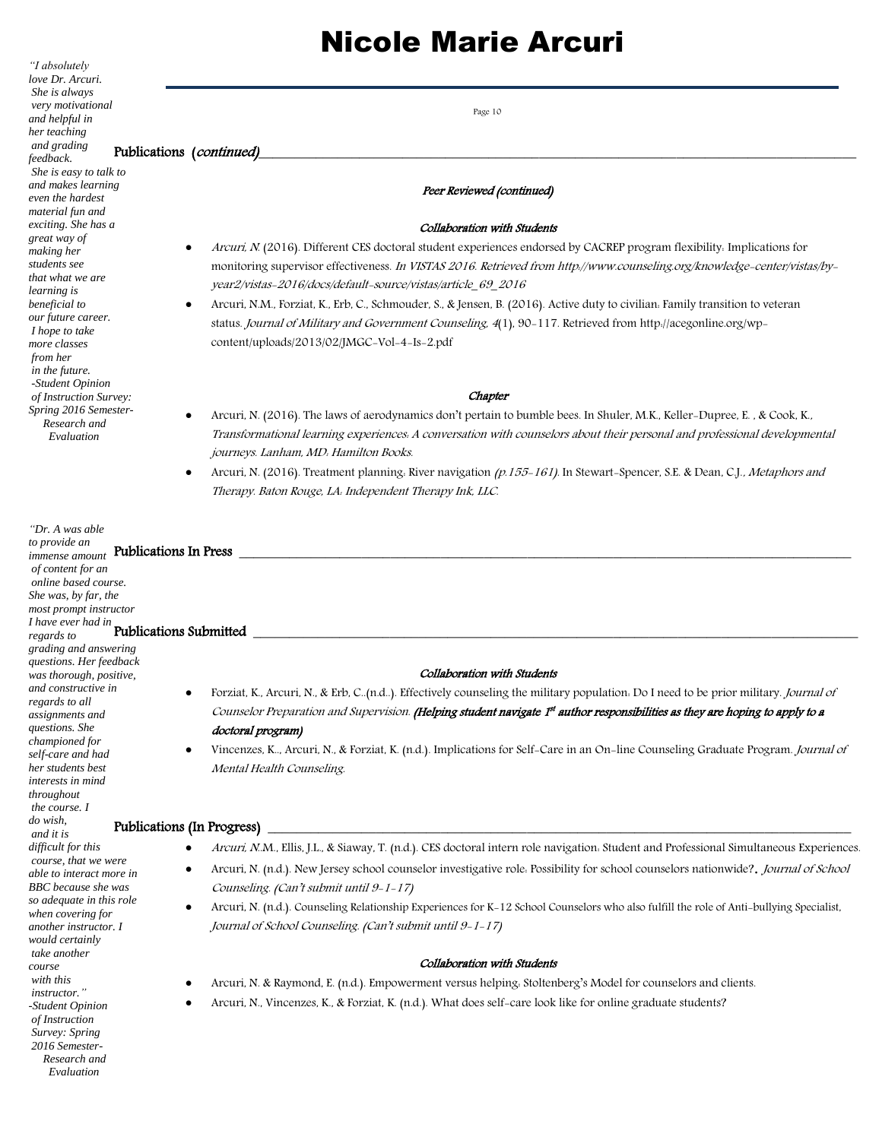*"I absolutely love Dr. Arcuri. She is always very motivational and helpful in her teaching and grading feedback. She is easy to talk to and makes learning even the hardest material fun and exciting. She has a great way of making her students see that what we are learning is beneficial to our future career. I hope to take more classes from her in the future. -Student Opinion of Instruction Survey: Spring 2016 Semester- Research and Evaluation "Dr. A was able to provide an immense amount* Publications In Press \_\_\_\_\_\_\_\_\_\_\_\_\_\_\_\_\_\_\_\_\_\_\_\_\_\_\_\_\_\_\_\_\_\_\_\_\_\_\_\_\_\_\_\_\_\_\_\_\_\_\_\_\_\_\_\_\_\_\_\_\_\_\_\_\_\_\_\_\_\_\_\_\_\_\_\_\_\_\_\_\_\_\_\_\_ *of content for an online based course. She was, by far, the most prompt instructor I have ever had in regards to*  Publications Submitted \_\_\_\_\_\_\_\_\_\_\_\_\_\_\_\_\_\_\_\_\_\_\_\_\_\_\_\_\_\_\_\_\_\_\_\_\_\_\_\_\_\_\_\_\_\_\_\_\_\_\_\_\_\_\_\_\_\_\_\_\_\_\_\_\_\_\_\_\_\_\_\_\_\_\_\_\_\_\_\_\_\_\_\_ *grading and answering questions. Her feedback was thorough, positive, and constructive in regards to all assignments and questions. She championed for self-care and had her students best interests in mind throughout the course. I do wish, and it is difficult for this course, that we were able to interact more in BBC because she was so adequate in this role when covering for another instructor. I would certainly take another course with this instructor." -Student Opinion of Instruction Survey: Spring 2016 Semester- Research and Evaluation* Page 10 Publications (continued) Peer Reviewed (continued) Collaboration with Students Arcuri, N. (2016). Different CES doctoral student experiences endorsed by CACREP program flexibility: Implications for monitoring supervisor effectiveness. In VISTAS 2016. Retrieved from http://www.counseling.org/knowledge-center/vistas/byyear2/vistas-2016/docs/default-source/vistas/article\_69\_2016 Arcuri, N.M., Forziat, K., Erb, C., Schmouder, S., & Jensen, B. (2016). Active duty to civilian: Family transition to veteran status. Journal of Military and Government Counseling, 4(1), 90-117. Retrieved from [http://acegonline.org/wp](https://mail.lhup.edu/owa/redir.aspx?C=0QcNJRE1nKJvJUPouqyWRgrvpB3IL2Mmw1sAH24U_s12n5Sc5PHTCA..&URL=http%3a%2f%2facegonline.org%2fwp-content%2fuploads%2f2013%2f02%2fJMGC-Vol-4-Is-2.pdf)[content/uploads/2013/02/JMGC-Vol-4-Is-2.pdf](https://mail.lhup.edu/owa/redir.aspx?C=0QcNJRE1nKJvJUPouqyWRgrvpB3IL2Mmw1sAH24U_s12n5Sc5PHTCA..&URL=http%3a%2f%2facegonline.org%2fwp-content%2fuploads%2f2013%2f02%2fJMGC-Vol-4-Is-2.pdf) **Chapter**  Arcuri, N. (2016). The laws of aerodynamics don't pertain to bumble bees. In Shuler, M.K., Keller-Dupree, E. , & Cook, K., Transformational learning experiences: A conversation with counselors about their personal and professional developmental journeys. Lanham, MD: Hamilton Books. Arcuri, N. (2016). Treatment planning. River navigation (p.155-161). In Stewart-Spencer, S.E. & Dean, C.J., Metaphors and Therapy. Baton Rouge, LA: Independent Therapy Ink, LLC. Collaboration with Students Forziat, K., Arcuri, N., & Erb, C..(n.d..). Effectively counseling the military population: Do I need to be prior military. Journal of Counselor Preparation and Supervision. **(Helping student navigate 1s<sup>t</sup> author responsibilities as they are hoping to apply to a** doctoral program) Vincenzes, K.., Arcuri, N., & Forziat, K. (n.d.). Implications for Self-Care in an On-line Counseling Graduate Program. Journal of Mental Health Counseling. Publications (In Progress) Arcuri, N..M., Ellis, J.L., & Siaway, T. (n.d.). CES doctoral intern role navigation: Student and Professional Simultaneous Experiences. Arcuri, N. (n.d.). New Jersey school counselor investigative role. Possibility for school counselors nationwide?. Journal of School Counseling. (Can't submit until 9-1-17) Arcuri, N. (n.d.). Counseling Relationship Experiences for K-12 School Counselors who also fulfill the role of Anti-bullying Specialist, Journal of School Counseling. (Can't submit until 9-1-17) Collaboration with Students Arcuri, N. & Raymond, E. (n.d.). Empowerment versus helping: Stoltenberg's Model for counselors and clients. Arcuri, N., Vincenzes, K., & Forziat, K. (n.d.). What does self-care look like for online graduate students?

# Nicole Marie Arcuri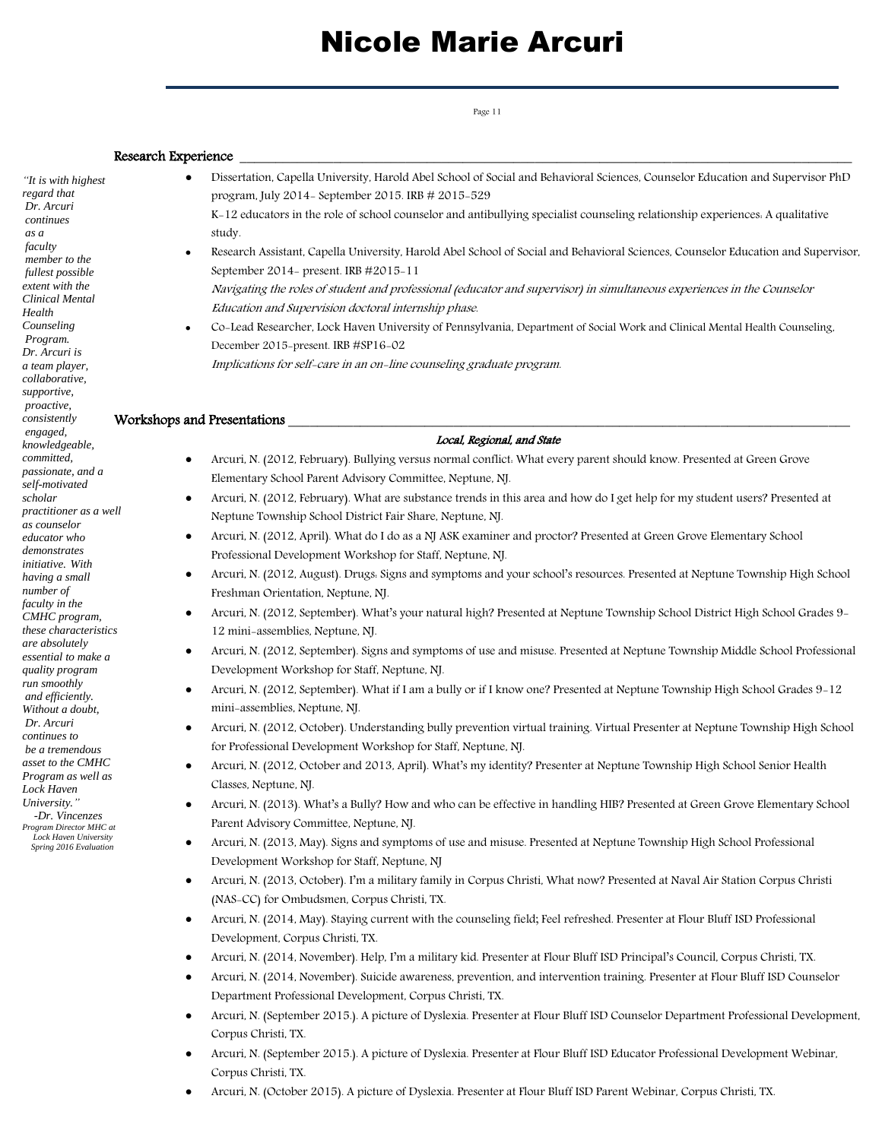Page 11

### Research Experience

*"It is with highest regard that Dr. Arcuri continues as a faculty member to the fullest possible extent with the Clinical Mental Health Counseling Program. Dr. Arcuri is a team player, collaborative, supportive, proactive, consistently engaged, knowledgeable, committed, passionate, and a self-motivated scholar practitioner as a well as counselor educator who demonstrates initiative. With having a small number of faculty in the CMHC program, these characteristics are absolutely essential to make a quality program run smoothly and efficiently. Without a doubt, Dr. Arcuri continues to be a tremendous asset to the CMHC Program as well as Lock Haven University." -Dr. Vincenzes Program Director MHC at Lock Haven University*

 *Spring 2016 Evaluation*

 Dissertation, Capella University, Harold Abel School of Social and Behavioral Sciences, Counselor Education and Supervisor PhD program, July 2014- September 2015. IRB # 2015-529 K-12 educators in the role of school counselor and antibullying specialist counseling relationship experiences: A qualitative

 Research Assistant, Capella University, Harold Abel School of Social and Behavioral Sciences, Counselor Education and Supervisor, September 2014- present. IRB #2015-11

Navigating the roles of student and professional (educator and supervisor) in simultaneous experiences in the Counselor Education and Supervision doctoral internship phase.

 Co-Lead Researcher, Lock Haven University of Pennsylvania, Department of Social Work and Clinical Mental Health Counseling, December 2015-present. IRB #SP16-02

Implications for self-care in an on-line counseling graduate program.

#### Workshops and Presentations

study.

### Local, Regional, and State

- Arcuri, N. (2012, February). Bullying versus normal conflict: What every parent should know. Presented at Green Grove Elementary School Parent Advisory Committee, Neptune, NJ.
- Arcuri, N. (2012, February). What are substance trends in this area and how do I get help for my student users? Presented at Neptune Township School District Fair Share, Neptune, NJ.
- Arcuri, N. (2012, April). What do I do as a NJ ASK examiner and proctor? Presented at Green Grove Elementary School Professional Development Workshop for Staff, Neptune, NJ.
- Arcuri, N. (2012, August). Drugs: Signs and symptoms and your school's resources. Presented at Neptune Township High School Freshman Orientation, Neptune, NJ.
- Arcuri, N. (2012, September). What's your natural high? Presented at Neptune Township School District High School Grades 9- 12 mini-assemblies, Neptune, NJ.
- Arcuri, N. (2012, September). Signs and symptoms of use and misuse. Presented at Neptune Township Middle School Professional Development Workshop for Staff, Neptune, NJ.
- Arcuri, N. (2012, September). What if I am a bully or if I know one? Presented at Neptune Township High School Grades 9-12 mini-assemblies, Neptune, NJ.
- Arcuri, N. (2012, October). Understanding bully prevention virtual training. Virtual Presenter at Neptune Township High School for Professional Development Workshop for Staff, Neptune, NJ.
- Arcuri, N. (2012, October and 2013, April). What's my identity? Presenter at Neptune Township High School Senior Health Classes, Neptune, NJ.
- Arcuri, N. (2013). What's a Bully? How and who can be effective in handling HIB? Presented at Green Grove Elementary School Parent Advisory Committee, Neptune, NJ.
- Arcuri, N. (2013, May). Signs and symptoms of use and misuse. Presented at Neptune Township High School Professional Development Workshop for Staff, Neptune, NJ
- Arcuri, N. (2013, October). I'm a military family in Corpus Christi, What now? Presented at Naval Air Station Corpus Christi (NAS-CC) for Ombudsmen, Corpus Christi, TX.
- Arcuri, N. (2014, May). Staying current with the counseling field; Feel refreshed. Presenter at Flour Bluff ISD Professional Development, Corpus Christi, TX.
- Arcuri, N. (2014, November). Help, I'm a military kid. Presenter at Flour Bluff ISD Principal's Council, Corpus Christi, TX.
	- Arcuri, N. (2014, November). Suicide awareness, prevention, and intervention training. Presenter at Flour Bluff ISD Counselor Department Professional Development, Corpus Christi, TX.
- Arcuri, N. (September 2015.). A picture of Dyslexia. Presenter at Flour Bluff ISD Counselor Department Professional Development, Corpus Christi, TX.
- Arcuri, N. (September 2015.). A picture of Dyslexia. Presenter at Flour Bluff ISD Educator Professional Development Webinar, Corpus Christi, TX.
- Arcuri, N. (October 2015). A picture of Dyslexia. Presenter at Flour Bluff ISD Parent Webinar, Corpus Christi, TX.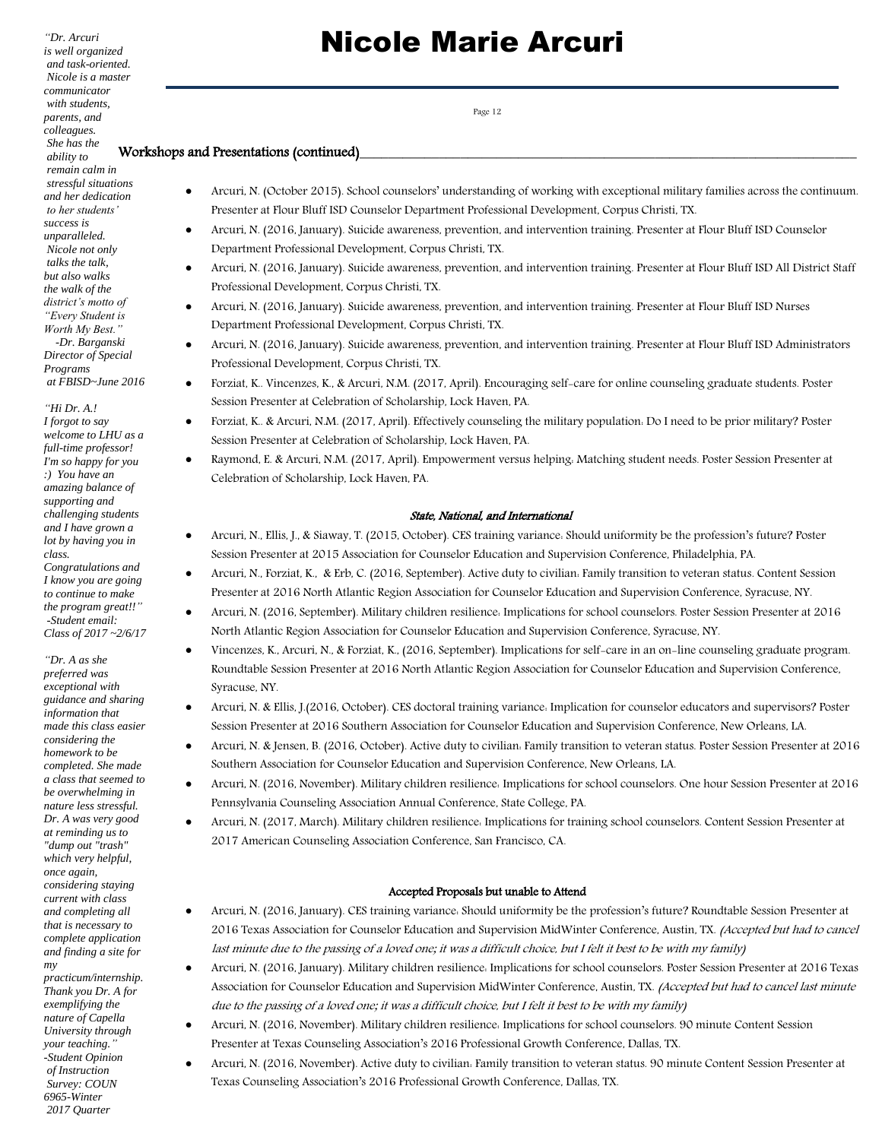*"Dr. Arcuri is well organized and task-oriented. Nicole is a master communicator with students, parents, and colleagues. She has the ability to remain calm in stressful situations and her dedication to her students' success is unparalleled. Nicole not only talks the talk, but also walks the walk of the district's motto of "Every Student is Worth My Best."*

 *-Dr. Barganski Director of Special Programs at FBISD~June 2016*

*"Hi Dr. A.! I forgot to say welcome to LHU as a full-time professor! I'm so happy for you :) You have an amazing balance of supporting and challenging students and I have grown a lot by having you in class. Congratulations and I know you are going to continue to make the program great!!"*

*-Student email: Class of 2017 ~2/6/17*

*"Dr. A as she preferred was exceptional with guidance and sharing information that made this class easier considering the homework to be completed. She made a class that seemed to be overwhelming in nature less stressful. Dr. A was very good at reminding us to "dump out "trash" which very helpful, once again, considering staying current with class and completing all that is necessary to complete application and finding a site for my practicum/internship.* 

*Thank you Dr. A for exemplifying the nature of Capella University through your teaching." -Student Opinion of Instruction Survey: COUN 6965-Winter 2017 Quarter* 

## Nicole Marie Arcuri

Page 12

### Workshops and Presentations (continued)

- Arcuri, N. (October 2015). School counselors' understanding of working with exceptional military families across the continuum. Presenter at Flour Bluff ISD Counselor Department Professional Development, Corpus Christi, TX.
- Arcuri, N. (2016, January). Suicide awareness, prevention, and intervention training. Presenter at Flour Bluff ISD Counselor Department Professional Development, Corpus Christi, TX.
- Arcuri, N. (2016, January). Suicide awareness, prevention, and intervention training. Presenter at Flour Bluff ISD All District Staff Professional Development, Corpus Christi, TX.
- Arcuri, N. (2016, January). Suicide awareness, prevention, and intervention training. Presenter at Flour Bluff ISD Nurses Department Professional Development, Corpus Christi, TX.
- Arcuri, N. (2016, January). Suicide awareness, prevention, and intervention training. Presenter at Flour Bluff ISD Administrators Professional Development, Corpus Christi, TX.
- Forziat, K.. Vincenzes, K., & Arcuri, N.M. (2017, April). Encouraging self-care for online counseling graduate students. Poster Session Presenter at Celebration of Scholarship, Lock Haven, PA.
- Forziat, K.. & Arcuri, N.M. (2017, April). Effectively counseling the military population: Do I need to be prior military? Poster Session Presenter at Celebration of Scholarship, Lock Haven, PA.
- Raymond, E. & Arcuri, N.M. (2017, April). Empowerment versus helping: Matching student needs. Poster Session Presenter at Celebration of Scholarship, Lock Haven, PA.

#### State, National, and International

- Arcuri, N., Ellis, J., & Siaway, T. (2015, October). CES training variance: Should uniformity be the profession's future? Poster Session Presenter at 2015 Association for Counselor Education and Supervision Conference, Philadelphia, PA.
- Arcuri, N., Forziat, K., & Erb, C. (2016, September). Active duty to civilian: Family transition to veteran status. Content Session Presenter at 2016 North Atlantic Region Association for Counselor Education and Supervision Conference, Syracuse, NY.
- Arcuri, N. (2016, September). Military children resilience: Implications for school counselors. Poster Session Presenter at 2016 North Atlantic Region Association for Counselor Education and Supervision Conference, Syracuse, NY.
- Vincenzes, K., Arcuri, N., & Forziat, K., (2016, September). Implications for self-care in an on-line counseling graduate program. Roundtable Session Presenter at 2016 North Atlantic Region Association for Counselor Education and Supervision Conference, Syracuse, NY.
- Arcuri, N. & Ellis, J.(2016, October). CES doctoral training variance: Implication for counselor educators and supervisors? Poster Session Presenter at 2016 Southern Association for Counselor Education and Supervision Conference, New Orleans, LA.
- Arcuri, N. & Jensen, B. (2016, October). Active duty to civilian: Family transition to veteran status. Poster Session Presenter at 2016 Southern Association for Counselor Education and Supervision Conference, New Orleans, LA.
- Arcuri, N. (2016, November). Military children resilience: Implications for school counselors. One hour Session Presenter at 2016 Pennsylvania Counseling Association Annual Conference, State College, PA.
- Arcuri, N. (2017, March). Military children resilience: Implications for training school counselors. Content Session Presenter at 2017 American Counseling Association Conference, San Francisco, CA.

#### Accepted Proposals but unable to Attend

- Arcuri, N. (2016, January). CES training variance: Should uniformity be the profession's future? Roundtable Session Presenter at 2016 Texas Association for Counselor Education and Supervision MidWinter Conference, Austin, TX. (Accepted but had to cancel last minute due to the passing of a loved one; it was a difficult choice, but I felt it best to be with my family)
- Arcuri, N. (2016, January). Military children resilience: Implications for school counselors. Poster Session Presenter at 2016 Texas Association for Counselor Education and Supervision MidWinter Conference, Austin, TX. (Accepted but had to cancel last minute due to the passing of a loved one; it was a difficult choice, but I felt it best to be with my family)
- Arcuri, N. (2016, November). Military children resilience: Implications for school counselors. 90 minute Content Session Presenter at Texas Counseling Association's 2016 Professional Growth Conference, Dallas, TX.
- Arcuri, N. (2016, November). Active duty to civilian: Family transition to veteran status. 90 minute Content Session Presenter at Texas Counseling Association's 2016 Professional Growth Conference, Dallas, TX.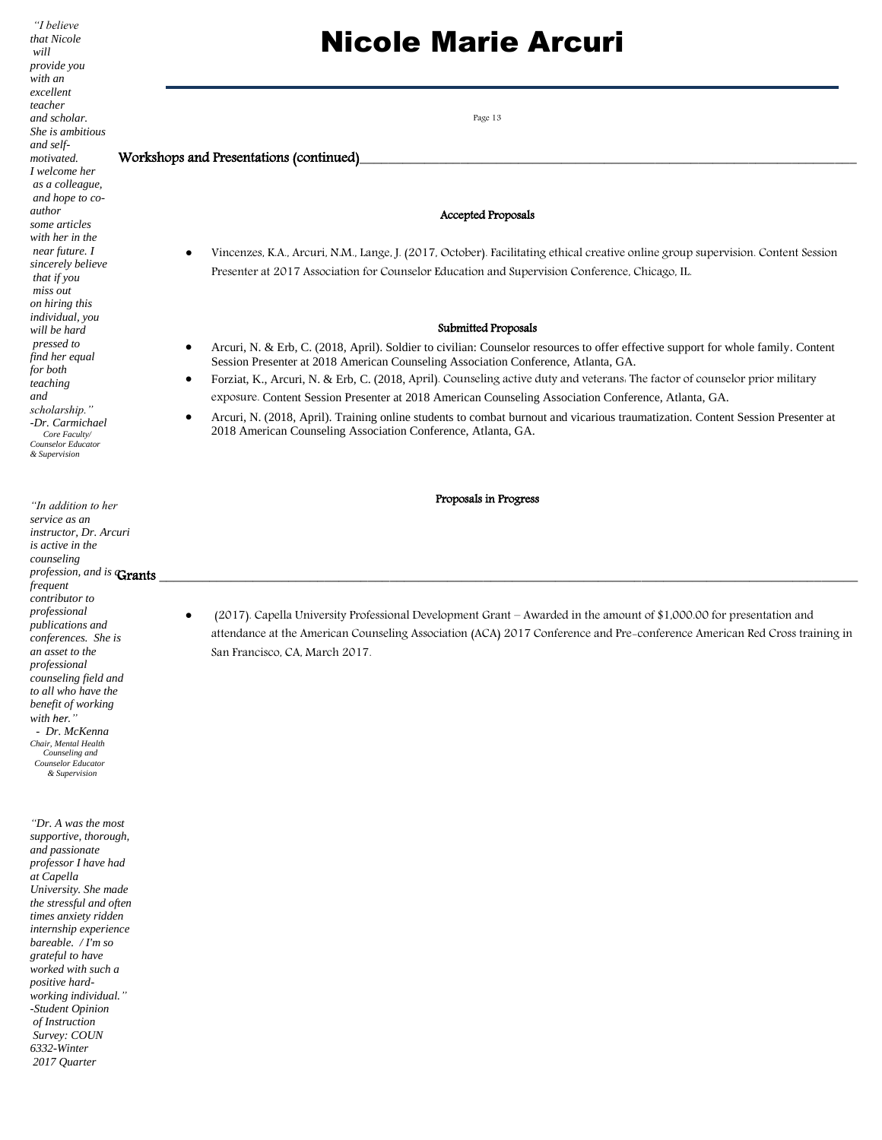*"I believe that Nicole will provide you with an excellent teacher and scholar. She is ambitious and selfmotivated. I welcome her as a colleague, and hope to coauthor some articles with her in the near future. I sincerely believe that if you miss out on hiring this individual, you will be hard pressed to find her equal for both teaching and scholarship." -Dr. Carmichael Core Faculty/ Counselor Educator & Supervision*

*"In addition to her service as an instructor, Dr. Arcuri is active in the counseling profession, and is* Grants *frequent contributor to professional publications and conferences. She is an asset to the professional counseling field and to all who have the benefit of working with her." - Dr. McKenna Chair, Mental Health Counseling and Counselor Educator & Supervision* Grants \_\_\_\_\_\_\_\_\_\_\_\_\_\_\_\_\_\_\_\_\_\_\_\_\_\_\_\_\_\_\_\_\_\_\_\_\_\_\_\_\_\_\_\_\_\_\_\_\_\_\_\_\_\_\_\_\_\_\_\_\_\_\_\_\_\_\_\_\_\_\_\_\_\_\_\_\_\_\_\_\_\_\_\_\_\_\_\_\_\_\_\_\_\_\_\_\_

*"Dr. A was the most supportive, thorough, and passionate professor I have had at Capella University. She made the stressful and often times anxiety ridden internship experience bareable. / I'm so grateful to have worked with such a positive hardworking individual." -Student Opinion of Instruction Survey: COUN 6332-Winter 2017 Quarter* 

## Nicole Marie Arcuri

Page 13

### Workshops and Presentations (continued)

#### Accepted Proposals

 Vincenzes, K.A., Arcuri, N.M., Lange, J. (2017, October). Facilitating ethical creative online group supervision. Content Session Presenter at 2017 Association for Counselor Education and Supervision Conference, Chicago, IL.

#### Submitted Proposals

- Arcuri, N. & Erb, C. (2018, April). Soldier to civilian: Counselor resources to offer effective support for whole family. Content Session Presenter at 2018 American Counseling Association Conference, Atlanta, GA.
- Forziat, K., Arcuri, N. & Erb, C. (2018, April). Counseling active duty and veterans: The factor of counselor prior military exposure. Content Session Presenter at 2018 American Counseling Association Conference, Atlanta, GA.
- Arcuri, N. (2018, April). Training online students to combat burnout and vicarious traumatization. Content Session Presenter at 2018 American Counseling Association Conference, Atlanta, GA.

#### Proposals in Progress

 (2017). Capella University Professional Development Grant – Awarded in the amount of \$1,000.00 for presentation and attendance at the American Counseling Association (ACA) 2017 Conference and Pre-conference American Red Cross training in San Francisco, CA, March 2017.